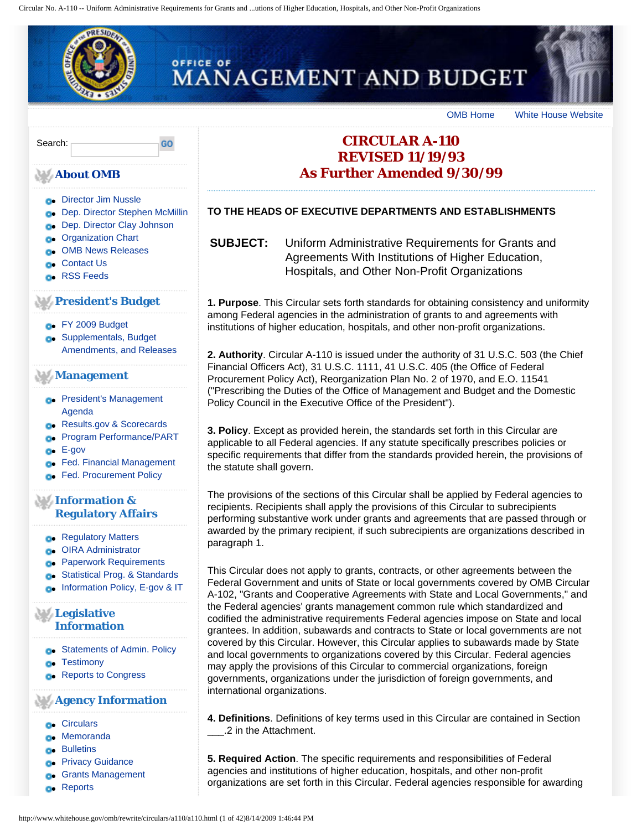Circular No. A-110 -- Uniform Administrative Requirements for Grants and ...utions of Higher Education, Hospitals, and Other Non-Profit Organizations

<span id="page-0-0"></span>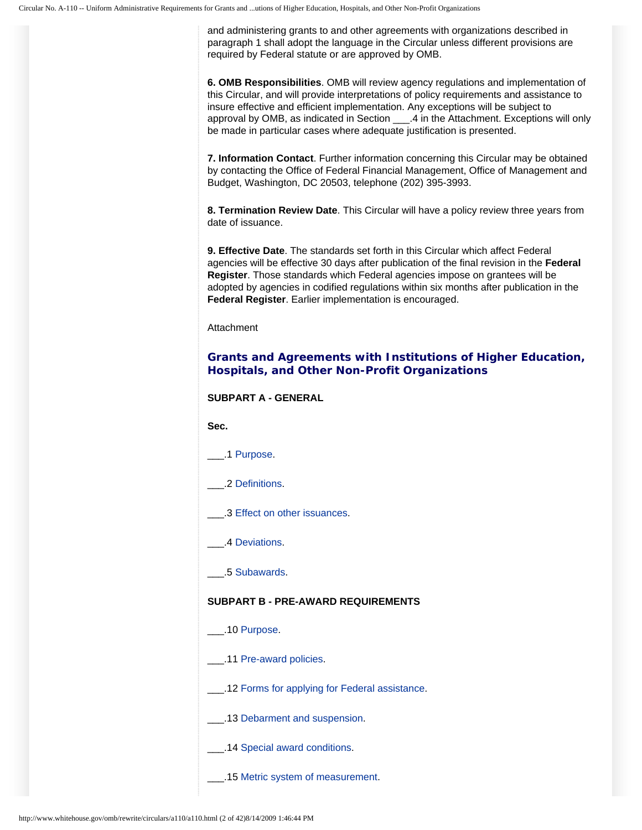and administering grants to and other agreements with organizations described in paragraph 1 shall adopt the language in the Circular unless different provisions are required by Federal statute or are approved by OMB.

**6. OMB Responsibilities**. OMB will review agency regulations and implementation of this Circular, and will provide interpretations of policy requirements and assistance to insure effective and efficient implementation. Any exceptions will be subject to approval by OMB, as indicated in Section \_\_\_.4 in the Attachment. Exceptions will only be made in particular cases where adequate justification is presented.

**7. Information Contact**. Further information concerning this Circular may be obtained by contacting the Office of Federal Financial Management, Office of Management and Budget, Washington, DC 20503, telephone (202) 395-3993.

**8. Termination Review Date**. This Circular will have a policy review three years from date of issuance.

**9. Effective Date**. The standards set forth in this Circular which affect Federal agencies will be effective 30 days after publication of the final revision in the **Federal Register**. Those standards which Federal agencies impose on grantees will be adopted by agencies in codified regulations within six months after publication in the **Federal Register**. Earlier implementation is encouraged.

**Attachment** 

**Grants and Agreements with Institutions of Higher Education, Hospitals, and Other Non-Profit Organizations**

<span id="page-1-0"></span>**SUBPART A - GENERAL**

**Sec.**

\_\_\_.1 [Purpose.](#page-3-0)

\_\_\_.2 [Definitions.](#page-4-0)

\_\_\_.3 [Effect on other issuances.](#page-7-0)

\_\_\_.4 [Deviations.](#page-7-1)

\_\_\_.5 [Subawards](#page-7-2).

## <span id="page-1-1"></span>**SUBPART B - PRE-AWARD REQUIREMENTS**

\_\_\_.10 [Purpose](#page-8-0).

\_\_\_.11 [Pre-award policies](#page-8-1).

\_\_\_.12 [Forms for applying for Federal assistance](#page-8-2).

\_\_\_.13 [Debarment and suspension](#page-8-3).

\_\_\_.14 [Special award conditions](#page-8-4).

\_\_\_.15 [Metric system of measurement](#page-9-0).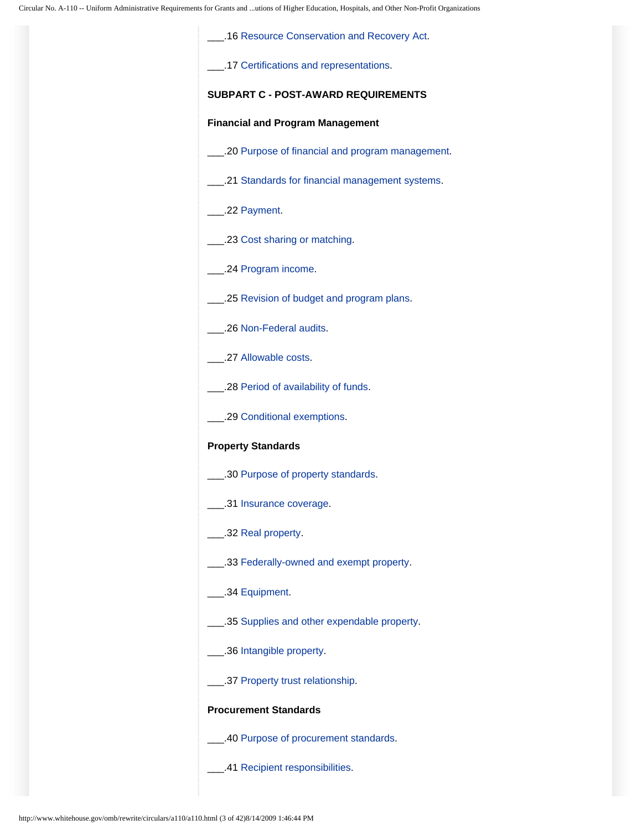<span id="page-2-2"></span><span id="page-2-1"></span><span id="page-2-0"></span>

| ____.16 Resource Conservation and Recovery Act.      |  |  |  |
|------------------------------------------------------|--|--|--|
| ____.17 Certifications and representations.          |  |  |  |
| <b>SUBPART C - POST-AWARD REQUIREMENTS</b>           |  |  |  |
| <b>Financial and Program Management</b>              |  |  |  |
| ____.20 Purpose of financial and program management. |  |  |  |
|                                                      |  |  |  |
| _____.22 Payment.                                    |  |  |  |
| 23 Cost sharing or matching.                         |  |  |  |
| 24 Program income.                                   |  |  |  |
| ____.25 Revision of budget and program plans.        |  |  |  |
| .26 Non-Federal audits.                              |  |  |  |
| .27 Allowable costs.                                 |  |  |  |
| ____.28 Period of availability of funds.             |  |  |  |
| 29 Conditional exemptions.                           |  |  |  |
| <b>Property Standards</b>                            |  |  |  |
| ____.30 Purpose of property standards.               |  |  |  |
| ___.31 Insurance coverage.                           |  |  |  |
| ___.32 Real property.                                |  |  |  |
| ____.33 Federally-owned and exempt property.         |  |  |  |
| _____ 34 Equipment.                                  |  |  |  |
| 35 Supplies and other expendable property.           |  |  |  |
| ____.36 Intangible property.                         |  |  |  |
| ____.37 Property trust relationship.                 |  |  |  |
| <b>Procurement Standards</b>                         |  |  |  |
| ____.40 Purpose of procurement standards.            |  |  |  |
| _41 Recipient responsibilities.                      |  |  |  |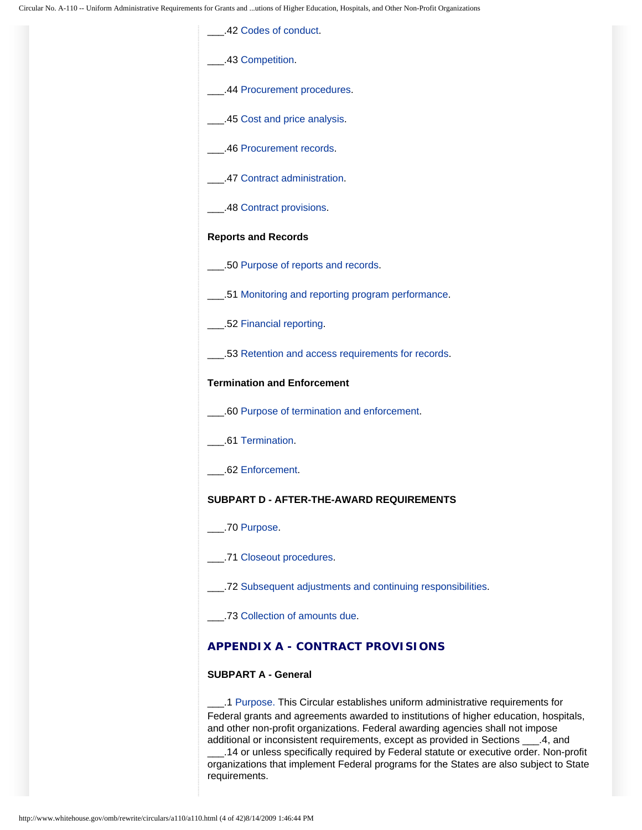| .42 Codes of conduct. |  |  |
|-----------------------|--|--|
|-----------------------|--|--|

\_\_\_.43 [Competition.](#page-29-1)

\_\_\_.44 [Procurement procedures.](#page-29-2)

**\_\_\_\_.45 [Cost and price analysis](#page-31-0).** 

\_\_\_.46 [Procurement records.](#page-32-0)

\_\_\_.47 [Contract administration.](#page-32-1)

\_\_\_.48 [Contract provisions](#page-32-2).

### <span id="page-3-1"></span>**Reports and Records**

\_\_\_.50 [Purpose of reports and records](#page-33-0).

\_\_\_.51 [Monitoring and reporting program performance](#page-33-1).

\_\_\_.52 [Financial reporting](#page-34-0).

\_\_\_.53 [Retention and access requirements for records.](#page-36-0)

## <span id="page-3-2"></span>**Termination and Enforcement**

\_\_\_.60 [Purpose of termination and enforcement.](#page-37-0)

\_\_\_.61 [Termination](#page-37-1).

\_\_\_.62 [Enforcement.](#page-37-2)

## <span id="page-3-3"></span>**SUBPART D - AFTER-THE-AWARD REQUIREMENTS**

\_\_\_.70 [Purpose](#page-38-0).

\_\_\_.71 [Closeout procedures.](#page-38-1)

\_\_\_.72 [Subsequent adjustments and continuing responsibilities.](#page-39-0)

\_\_\_.73 [Collection of amounts due.](#page-39-1)

# **APPENDIX A - CONTRACT PROVISIONS**

## **SUBPART A - General**

<span id="page-3-0"></span>\_\_\_.1 [Purpose.](#page-1-0) This Circular establishes uniform administrative requirements for Federal grants and agreements awarded to institutions of higher education, hospitals, and other non-profit organizations. Federal awarding agencies shall not impose additional or inconsistent requirements, except as provided in Sections \_\_\_.4, and \_\_\_.14 or unless specifically required by Federal statute or executive order. Non-profit organizations that implement Federal programs for the States are also subject to State requirements.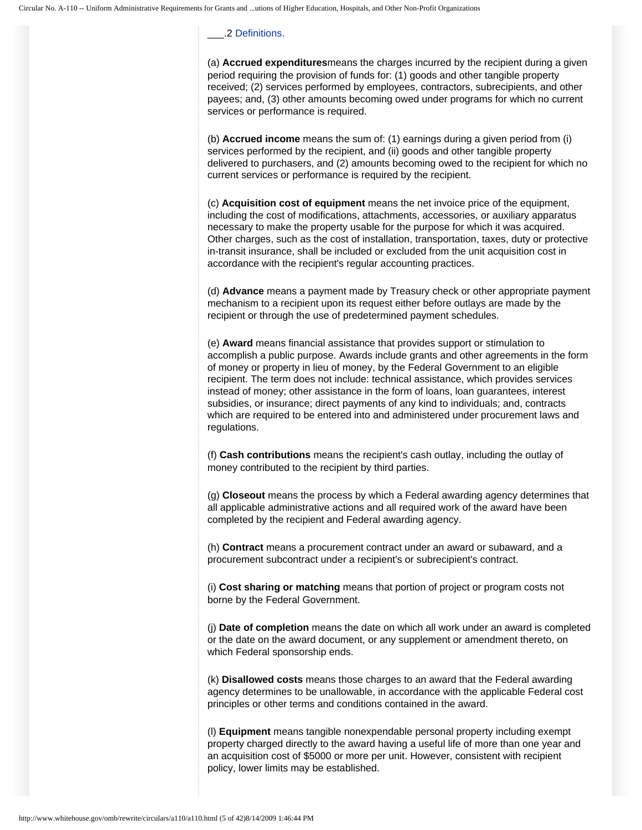#### \_\_\_.2 [Definitions.](#page-1-0)

<span id="page-4-0"></span>(a) **Accrued expenditures**means the charges incurred by the recipient during a given period requiring the provision of funds for: (1) goods and other tangible property received; (2) services performed by employees, contractors, subrecipients, and other payees; and, (3) other amounts becoming owed under programs for which no current services or performance is required.

(b) **Accrued income** means the sum of: (1) earnings during a given period from (i) services performed by the recipient, and (ii) goods and other tangible property delivered to purchasers, and (2) amounts becoming owed to the recipient for which no current services or performance is required by the recipient.

(c) **Acquisition cost of equipment** means the net invoice price of the equipment, including the cost of modifications, attachments, accessories, or auxiliary apparatus necessary to make the property usable for the purpose for which it was acquired. Other charges, such as the cost of installation, transportation, taxes, duty or protective in-transit insurance, shall be included or excluded from the unit acquisition cost in accordance with the recipient's regular accounting practices.

(d) **Advance** means a payment made by Treasury check or other appropriate payment mechanism to a recipient upon its request either before outlays are made by the recipient or through the use of predetermined payment schedules.

(e) **Award** means financial assistance that provides support or stimulation to accomplish a public purpose. Awards include grants and other agreements in the form of money or property in lieu of money, by the Federal Government to an eligible recipient. The term does not include: technical assistance, which provides services instead of money; other assistance in the form of loans, loan guarantees, interest subsidies, or insurance; direct payments of any kind to individuals; and, contracts which are required to be entered into and administered under procurement laws and regulations.

(f) **Cash contributions** means the recipient's cash outlay, including the outlay of money contributed to the recipient by third parties.

(g) **Closeout** means the process by which a Federal awarding agency determines that all applicable administrative actions and all required work of the award have been completed by the recipient and Federal awarding agency.

(h) **Contract** means a procurement contract under an award or subaward, and a procurement subcontract under a recipient's or subrecipient's contract.

(i) **Cost sharing or matching** means that portion of project or program costs not borne by the Federal Government.

(j) **Date of completion** means the date on which all work under an award is completed or the date on the award document, or any supplement or amendment thereto, on which Federal sponsorship ends.

(k) **Disallowed costs** means those charges to an award that the Federal awarding agency determines to be unallowable, in accordance with the applicable Federal cost principles or other terms and conditions contained in the award.

(l) **Equipment** means tangible nonexpendable personal property including exempt property charged directly to the award having a useful life of more than one year and an acquisition cost of \$5000 or more per unit. However, consistent with recipient policy, lower limits may be established.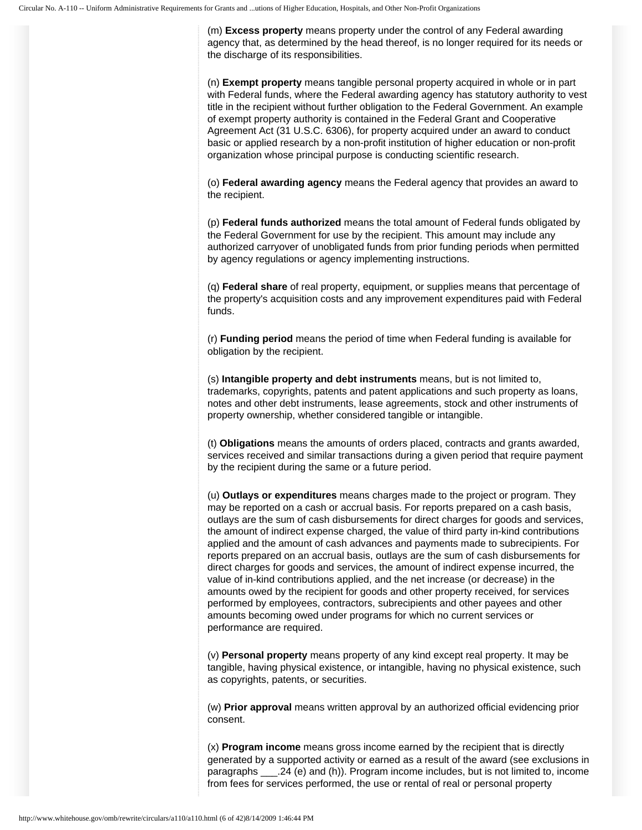(m) **Excess property** means property under the control of any Federal awarding agency that, as determined by the head thereof, is no longer required for its needs or the discharge of its responsibilities.

(n) **Exempt property** means tangible personal property acquired in whole or in part with Federal funds, where the Federal awarding agency has statutory authority to vest title in the recipient without further obligation to the Federal Government. An example of exempt property authority is contained in the Federal Grant and Cooperative Agreement Act (31 U.S.C. 6306), for property acquired under an award to conduct basic or applied research by a non-profit institution of higher education or non-profit organization whose principal purpose is conducting scientific research.

(o) **Federal awarding agency** means the Federal agency that provides an award to the recipient.

(p) **Federal funds authorized** means the total amount of Federal funds obligated by the Federal Government for use by the recipient. This amount may include any authorized carryover of unobligated funds from prior funding periods when permitted by agency regulations or agency implementing instructions.

(q) **Federal share** of real property, equipment, or supplies means that percentage of the property's acquisition costs and any improvement expenditures paid with Federal funds.

(r) **Funding period** means the period of time when Federal funding is available for obligation by the recipient.

(s) **Intangible property and debt instruments** means, but is not limited to, trademarks, copyrights, patents and patent applications and such property as loans, notes and other debt instruments, lease agreements, stock and other instruments of property ownership, whether considered tangible or intangible.

(t) **Obligations** means the amounts of orders placed, contracts and grants awarded, services received and similar transactions during a given period that require payment by the recipient during the same or a future period.

(u) **Outlays or expenditures** means charges made to the project or program. They may be reported on a cash or accrual basis. For reports prepared on a cash basis, outlays are the sum of cash disbursements for direct charges for goods and services, the amount of indirect expense charged, the value of third party in-kind contributions applied and the amount of cash advances and payments made to subrecipients. For reports prepared on an accrual basis, outlays are the sum of cash disbursements for direct charges for goods and services, the amount of indirect expense incurred, the value of in-kind contributions applied, and the net increase (or decrease) in the amounts owed by the recipient for goods and other property received, for services performed by employees, contractors, subrecipients and other payees and other amounts becoming owed under programs for which no current services or performance are required.

(v) **Personal property** means property of any kind except real property. It may be tangible, having physical existence, or intangible, having no physical existence, such as copyrights, patents, or securities.

(w) **Prior approval** means written approval by an authorized official evidencing prior consent.

(x) **Program income** means gross income earned by the recipient that is directly generated by a supported activity or earned as a result of the award (see exclusions in paragraphs \_\_\_.24 (e) and (h)). Program income includes, but is not limited to, income from fees for services performed, the use or rental of real or personal property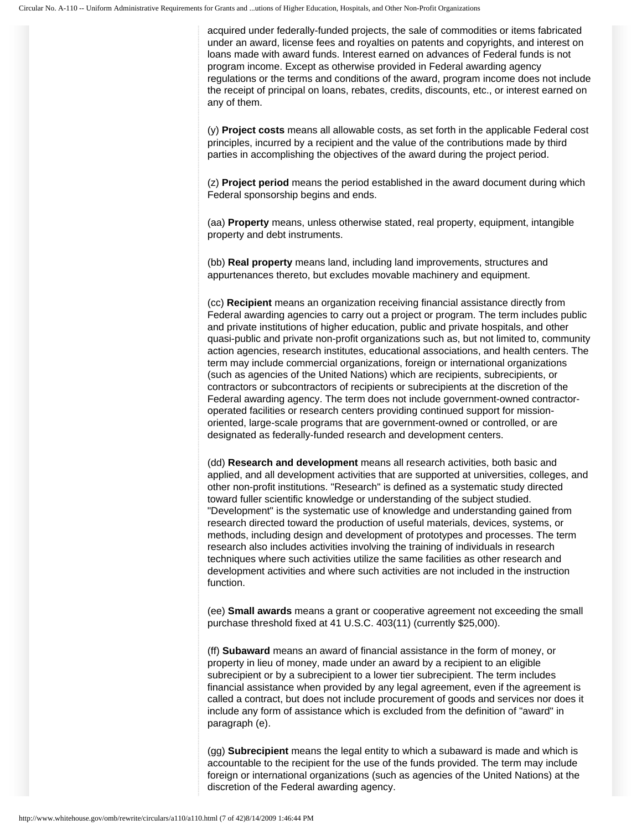acquired under federally-funded projects, the sale of commodities or items fabricated under an award, license fees and royalties on patents and copyrights, and interest on loans made with award funds. Interest earned on advances of Federal funds is not program income. Except as otherwise provided in Federal awarding agency regulations or the terms and conditions of the award, program income does not include the receipt of principal on loans, rebates, credits, discounts, etc., or interest earned on any of them.

(y) **Project costs** means all allowable costs, as set forth in the applicable Federal cost principles, incurred by a recipient and the value of the contributions made by third parties in accomplishing the objectives of the award during the project period.

(z) **Project period** means the period established in the award document during which Federal sponsorship begins and ends.

(aa) **Property** means, unless otherwise stated, real property, equipment, intangible property and debt instruments.

(bb) **Real property** means land, including land improvements, structures and appurtenances thereto, but excludes movable machinery and equipment.

(cc) **Recipient** means an organization receiving financial assistance directly from Federal awarding agencies to carry out a project or program. The term includes public and private institutions of higher education, public and private hospitals, and other quasi-public and private non-profit organizations such as, but not limited to, community action agencies, research institutes, educational associations, and health centers. The term may include commercial organizations, foreign or international organizations (such as agencies of the United Nations) which are recipients, subrecipients, or contractors or subcontractors of recipients or subrecipients at the discretion of the Federal awarding agency. The term does not include government-owned contractoroperated facilities or research centers providing continued support for missionoriented, large-scale programs that are government-owned or controlled, or are designated as federally-funded research and development centers.

(dd) **Research and development** means all research activities, both basic and applied, and all development activities that are supported at universities, colleges, and other non-profit institutions. "Research" is defined as a systematic study directed toward fuller scientific knowledge or understanding of the subject studied. "Development" is the systematic use of knowledge and understanding gained from research directed toward the production of useful materials, devices, systems, or methods, including design and development of prototypes and processes. The term research also includes activities involving the training of individuals in research techniques where such activities utilize the same facilities as other research and development activities and where such activities are not included in the instruction function.

(ee) **Small awards** means a grant or cooperative agreement not exceeding the small purchase threshold fixed at 41 U.S.C. 403(11) (currently \$25,000).

(ff) **Subaward** means an award of financial assistance in the form of money, or property in lieu of money, made under an award by a recipient to an eligible subrecipient or by a subrecipient to a lower tier subrecipient. The term includes financial assistance when provided by any legal agreement, even if the agreement is called a contract, but does not include procurement of goods and services nor does it include any form of assistance which is excluded from the definition of "award" in paragraph (e).

(gg) **Subrecipient** means the legal entity to which a subaward is made and which is accountable to the recipient for the use of the funds provided. The term may include foreign or international organizations (such as agencies of the United Nations) at the discretion of the Federal awarding agency.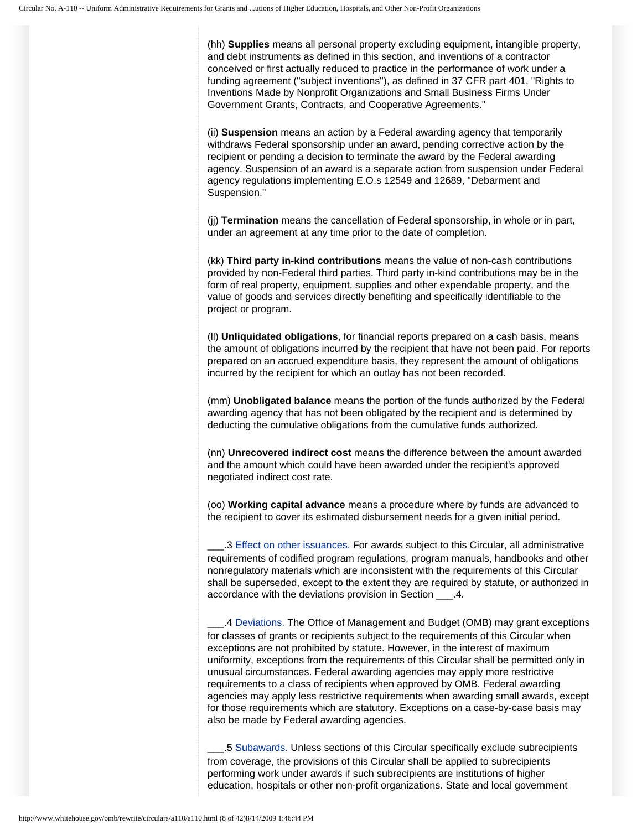(hh) **Supplies** means all personal property excluding equipment, intangible property, and debt instruments as defined in this section, and inventions of a contractor conceived or first actually reduced to practice in the performance of work under a funding agreement ("subject inventions"), as defined in 37 CFR part 401, "Rights to Inventions Made by Nonprofit Organizations and Small Business Firms Under Government Grants, Contracts, and Cooperative Agreements."

(ii) **Suspension** means an action by a Federal awarding agency that temporarily withdraws Federal sponsorship under an award, pending corrective action by the recipient or pending a decision to terminate the award by the Federal awarding agency. Suspension of an award is a separate action from suspension under Federal agency regulations implementing E.O.s 12549 and 12689, "Debarment and Suspension."

(jj) **Termination** means the cancellation of Federal sponsorship, in whole or in part, under an agreement at any time prior to the date of completion.

(kk) **Third party in-kind contributions** means the value of non-cash contributions provided by non-Federal third parties. Third party in-kind contributions may be in the form of real property, equipment, supplies and other expendable property, and the value of goods and services directly benefiting and specifically identifiable to the project or program.

(ll) **Unliquidated obligations**, for financial reports prepared on a cash basis, means the amount of obligations incurred by the recipient that have not been paid. For reports prepared on an accrued expenditure basis, they represent the amount of obligations incurred by the recipient for which an outlay has not been recorded.

(mm) **Unobligated balance** means the portion of the funds authorized by the Federal awarding agency that has not been obligated by the recipient and is determined by deducting the cumulative obligations from the cumulative funds authorized.

(nn) **Unrecovered indirect cost** means the difference between the amount awarded and the amount which could have been awarded under the recipient's approved negotiated indirect cost rate.

(oo) **Working capital advance** means a procedure where by funds are advanced to the recipient to cover its estimated disbursement needs for a given initial period.

<span id="page-7-0"></span>\_\_\_.3 [Effect on other issuances.](#page-1-0) For awards subject to this Circular, all administrative requirements of codified program regulations, program manuals, handbooks and other nonregulatory materials which are inconsistent with the requirements of this Circular shall be superseded, except to the extent they are required by statute, or authorized in accordance with the deviations provision in Section \_\_\_.4.

<span id="page-7-1"></span>\_\_\_.4 [Deviations.](#page-1-0) The Office of Management and Budget (OMB) may grant exceptions for classes of grants or recipients subject to the requirements of this Circular when exceptions are not prohibited by statute. However, in the interest of maximum uniformity, exceptions from the requirements of this Circular shall be permitted only in unusual circumstances. Federal awarding agencies may apply more restrictive requirements to a class of recipients when approved by OMB. Federal awarding agencies may apply less restrictive requirements when awarding small awards, except for those requirements which are statutory. Exceptions on a case-by-case basis may also be made by Federal awarding agencies.

<span id="page-7-2"></span>\_\_\_.5 [Subawards.](#page-1-0) Unless sections of this Circular specifically exclude subrecipients from coverage, the provisions of this Circular shall be applied to subrecipients performing work under awards if such subrecipients are institutions of higher education, hospitals or other non-profit organizations. State and local government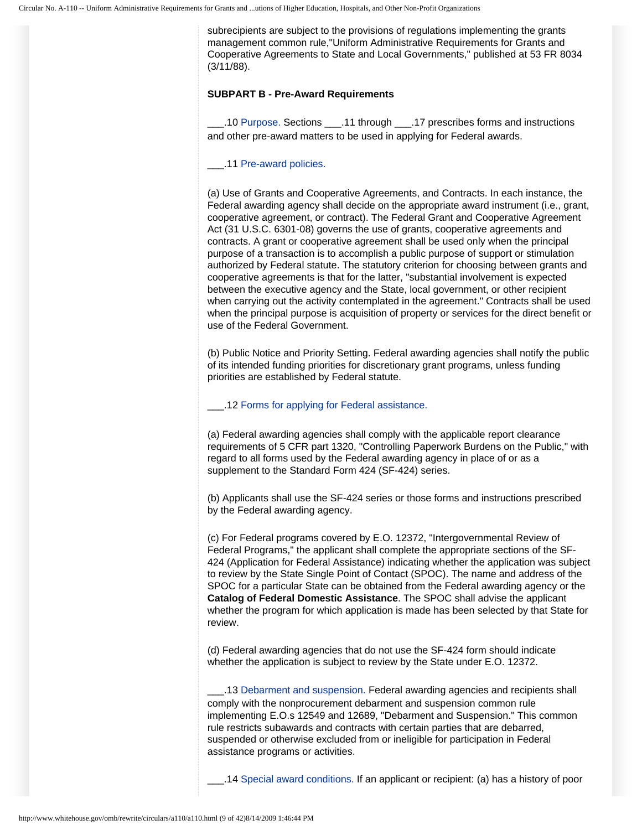subrecipients are subject to the provisions of regulations implementing the grants management common rule,"Uniform Administrative Requirements for Grants and Cooperative Agreements to State and Local Governments," published at 53 FR 8034 (3/11/88).

### **SUBPART B - Pre-Award Requirements**

<span id="page-8-0"></span>\_\_\_.10 [Purpose.](#page-1-1) Sections \_\_\_.11 through \_\_\_.17 prescribes forms and instructions and other pre-award matters to be used in applying for Federal awards.

\_\_\_.11 [Pre-award policies.](#page-1-1)

<span id="page-8-1"></span>(a) Use of Grants and Cooperative Agreements, and Contracts. In each instance, the Federal awarding agency shall decide on the appropriate award instrument (i.e., grant, cooperative agreement, or contract). The Federal Grant and Cooperative Agreement Act (31 U.S.C. 6301-08) governs the use of grants, cooperative agreements and contracts. A grant or cooperative agreement shall be used only when the principal purpose of a transaction is to accomplish a public purpose of support or stimulation authorized by Federal statute. The statutory criterion for choosing between grants and cooperative agreements is that for the latter, "substantial involvement is expected between the executive agency and the State, local government, or other recipient when carrying out the activity contemplated in the agreement." Contracts shall be used when the principal purpose is acquisition of property or services for the direct benefit or use of the Federal Government.

(b) Public Notice and Priority Setting. Federal awarding agencies shall notify the public of its intended funding priorities for discretionary grant programs, unless funding priorities are established by Federal statute.

\_\_\_.12 [Forms for applying for Federal assistance.](#page-1-1)

<span id="page-8-2"></span>(a) Federal awarding agencies shall comply with the applicable report clearance requirements of 5 CFR part 1320, "Controlling Paperwork Burdens on the Public," with regard to all forms used by the Federal awarding agency in place of or as a supplement to the Standard Form 424 (SF-424) series.

(b) Applicants shall use the SF-424 series or those forms and instructions prescribed by the Federal awarding agency.

(c) For Federal programs covered by E.O. 12372, "Intergovernmental Review of Federal Programs," the applicant shall complete the appropriate sections of the SF-424 (Application for Federal Assistance) indicating whether the application was subject to review by the State Single Point of Contact (SPOC). The name and address of the SPOC for a particular State can be obtained from the Federal awarding agency or the **Catalog of Federal Domestic Assistance**. The SPOC shall advise the applicant whether the program for which application is made has been selected by that State for review.

(d) Federal awarding agencies that do not use the SF-424 form should indicate whether the application is subject to review by the State under E.O. 12372.

<span id="page-8-3"></span>\_\_\_.13 [Debarment and suspension.](#page-1-1) Federal awarding agencies and recipients shall comply with the nonprocurement debarment and suspension common rule implementing E.O.s 12549 and 12689, "Debarment and Suspension." This common rule restricts subawards and contracts with certain parties that are debarred, suspended or otherwise excluded from or ineligible for participation in Federal assistance programs or activities.

<span id="page-8-4"></span>\_\_\_.14 [Special award conditions.](#page-1-1) If an applicant or recipient: (a) has a history of poor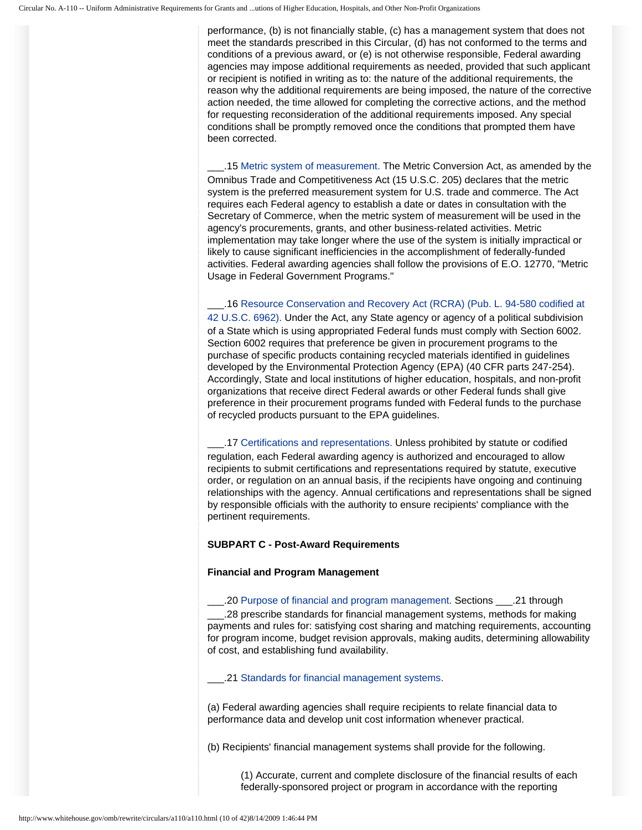performance, (b) is not financially stable, (c) has a management system that does not meet the standards prescribed in this Circular, (d) has not conformed to the terms and conditions of a previous award, or (e) is not otherwise responsible, Federal awarding agencies may impose additional requirements as needed, provided that such applicant or recipient is notified in writing as to: the nature of the additional requirements, the reason why the additional requirements are being imposed, the nature of the corrective action needed, the time allowed for completing the corrective actions, and the method for requesting reconsideration of the additional requirements imposed. Any special conditions shall be promptly removed once the conditions that prompted them have been corrected.

<span id="page-9-0"></span>\_\_\_.15 [Metric system of measurement.](#page-1-1) The Metric Conversion Act, as amended by the Omnibus Trade and Competitiveness Act (15 U.S.C. 205) declares that the metric system is the preferred measurement system for U.S. trade and commerce. The Act requires each Federal agency to establish a date or dates in consultation with the Secretary of Commerce, when the metric system of measurement will be used in the agency's procurements, grants, and other business-related activities. Metric implementation may take longer where the use of the system is initially impractical or likely to cause significant inefficiencies in the accomplishment of federally-funded activities. Federal awarding agencies shall follow the provisions of E.O. 12770, "Metric Usage in Federal Government Programs."

<span id="page-9-1"></span>\_\_\_.16 [Resource Conservation and Recovery Act \(RCRA\) \(Pub. L. 94-580 codified at](#page-1-1)  [42 U.S.C. 6962\).](#page-1-1) Under the Act, any State agency or agency of a political subdivision of a State which is using appropriated Federal funds must comply with Section 6002. Section 6002 requires that preference be given in procurement programs to the purchase of specific products containing recycled materials identified in guidelines developed by the Environmental Protection Agency (EPA) (40 CFR parts 247-254). Accordingly, State and local institutions of higher education, hospitals, and non-profit organizations that receive direct Federal awards or other Federal funds shall give preference in their procurement programs funded with Federal funds to the purchase of recycled products pursuant to the EPA guidelines.

<span id="page-9-2"></span>\_\_\_.17 [Certifications and representations.](#page-1-1) Unless prohibited by statute or codified regulation, each Federal awarding agency is authorized and encouraged to allow recipients to submit certifications and representations required by statute, executive order, or regulation on an annual basis, if the recipients have ongoing and continuing relationships with the agency. Annual certifications and representations shall be signed by responsible officials with the authority to ensure recipients' compliance with the pertinent requirements.

## **SUBPART C - Post-Award Requirements**

### **Financial and Program Management**

<span id="page-9-3"></span>\_\_\_.20 [Purpose of financial and program management.](#page-2-0) Sections \_\_\_.21 through \_\_\_.28 prescribe standards for financial management systems, methods for making payments and rules for: satisfying cost sharing and matching requirements, accounting for program income, budget revision approvals, making audits, determining allowability of cost, and establishing fund availability.

\_\_\_.21 [Standards for financial management systems.](#page-2-0)

<span id="page-9-4"></span>(a) Federal awarding agencies shall require recipients to relate financial data to performance data and develop unit cost information whenever practical.

(b) Recipients' financial management systems shall provide for the following.

(1) Accurate, current and complete disclosure of the financial results of each federally-sponsored project or program in accordance with the reporting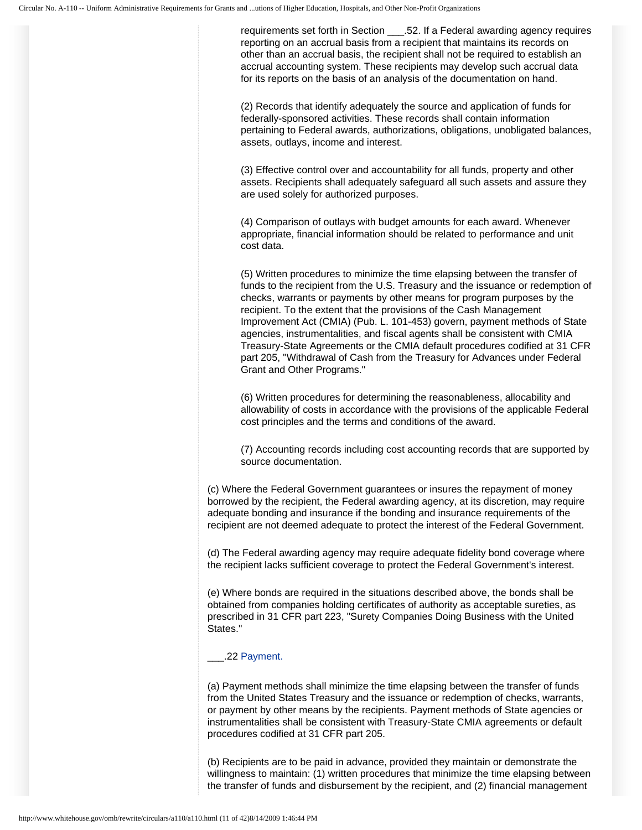requirements set forth in Section \_\_\_.52. If a Federal awarding agency requires reporting on an accrual basis from a recipient that maintains its records on other than an accrual basis, the recipient shall not be required to establish an accrual accounting system. These recipients may develop such accrual data for its reports on the basis of an analysis of the documentation on hand.

(2) Records that identify adequately the source and application of funds for federally-sponsored activities. These records shall contain information pertaining to Federal awards, authorizations, obligations, unobligated balances, assets, outlays, income and interest.

(3) Effective control over and accountability for all funds, property and other assets. Recipients shall adequately safeguard all such assets and assure they are used solely for authorized purposes.

(4) Comparison of outlays with budget amounts for each award. Whenever appropriate, financial information should be related to performance and unit cost data.

(5) Written procedures to minimize the time elapsing between the transfer of funds to the recipient from the U.S. Treasury and the issuance or redemption of checks, warrants or payments by other means for program purposes by the recipient. To the extent that the provisions of the Cash Management Improvement Act (CMIA) (Pub. L. 101-453) govern, payment methods of State agencies, instrumentalities, and fiscal agents shall be consistent with CMIA Treasury-State Agreements or the CMIA default procedures codified at 31 CFR part 205, "Withdrawal of Cash from the Treasury for Advances under Federal Grant and Other Programs."

(6) Written procedures for determining the reasonableness, allocability and allowability of costs in accordance with the provisions of the applicable Federal cost principles and the terms and conditions of the award.

(7) Accounting records including cost accounting records that are supported by source documentation.

(c) Where the Federal Government guarantees or insures the repayment of money borrowed by the recipient, the Federal awarding agency, at its discretion, may require adequate bonding and insurance if the bonding and insurance requirements of the recipient are not deemed adequate to protect the interest of the Federal Government.

(d) The Federal awarding agency may require adequate fidelity bond coverage where the recipient lacks sufficient coverage to protect the Federal Government's interest.

(e) Where bonds are required in the situations described above, the bonds shall be obtained from companies holding certificates of authority as acceptable sureties, as prescribed in 31 CFR part 223, "Surety Companies Doing Business with the United States."

### \_.22 [Payment.](#page-2-0)

<span id="page-10-0"></span>(a) Payment methods shall minimize the time elapsing between the transfer of funds from the United States Treasury and the issuance or redemption of checks, warrants, or payment by other means by the recipients. Payment methods of State agencies or instrumentalities shall be consistent with Treasury-State CMIA agreements or default procedures codified at 31 CFR part 205.

(b) Recipients are to be paid in advance, provided they maintain or demonstrate the willingness to maintain: (1) written procedures that minimize the time elapsing between the transfer of funds and disbursement by the recipient, and (2) financial management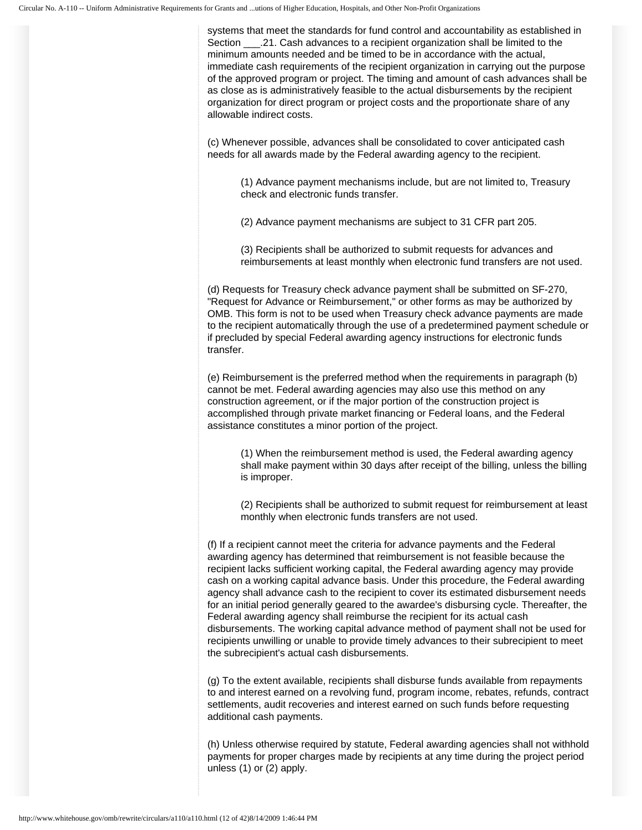systems that meet the standards for fund control and accountability as established in Section \_\_\_.21. Cash advances to a recipient organization shall be limited to the minimum amounts needed and be timed to be in accordance with the actual, immediate cash requirements of the recipient organization in carrying out the purpose of the approved program or project. The timing and amount of cash advances shall be as close as is administratively feasible to the actual disbursements by the recipient organization for direct program or project costs and the proportionate share of any allowable indirect costs.

(c) Whenever possible, advances shall be consolidated to cover anticipated cash needs for all awards made by the Federal awarding agency to the recipient.

(1) Advance payment mechanisms include, but are not limited to, Treasury check and electronic funds transfer.

(2) Advance payment mechanisms are subject to 31 CFR part 205.

(3) Recipients shall be authorized to submit requests for advances and reimbursements at least monthly when electronic fund transfers are not used.

(d) Requests for Treasury check advance payment shall be submitted on SF-270, "Request for Advance or Reimbursement," or other forms as may be authorized by OMB. This form is not to be used when Treasury check advance payments are made to the recipient automatically through the use of a predetermined payment schedule or if precluded by special Federal awarding agency instructions for electronic funds transfer.

(e) Reimbursement is the preferred method when the requirements in paragraph (b) cannot be met. Federal awarding agencies may also use this method on any construction agreement, or if the major portion of the construction project is accomplished through private market financing or Federal loans, and the Federal assistance constitutes a minor portion of the project.

(1) When the reimbursement method is used, the Federal awarding agency shall make payment within 30 days after receipt of the billing, unless the billing is improper.

(2) Recipients shall be authorized to submit request for reimbursement at least monthly when electronic funds transfers are not used.

(f) If a recipient cannot meet the criteria for advance payments and the Federal awarding agency has determined that reimbursement is not feasible because the recipient lacks sufficient working capital, the Federal awarding agency may provide cash on a working capital advance basis. Under this procedure, the Federal awarding agency shall advance cash to the recipient to cover its estimated disbursement needs for an initial period generally geared to the awardee's disbursing cycle. Thereafter, the Federal awarding agency shall reimburse the recipient for its actual cash disbursements. The working capital advance method of payment shall not be used for recipients unwilling or unable to provide timely advances to their subrecipient to meet the subrecipient's actual cash disbursements.

(g) To the extent available, recipients shall disburse funds available from repayments to and interest earned on a revolving fund, program income, rebates, refunds, contract settlements, audit recoveries and interest earned on such funds before requesting additional cash payments.

(h) Unless otherwise required by statute, Federal awarding agencies shall not withhold payments for proper charges made by recipients at any time during the project period unless (1) or (2) apply.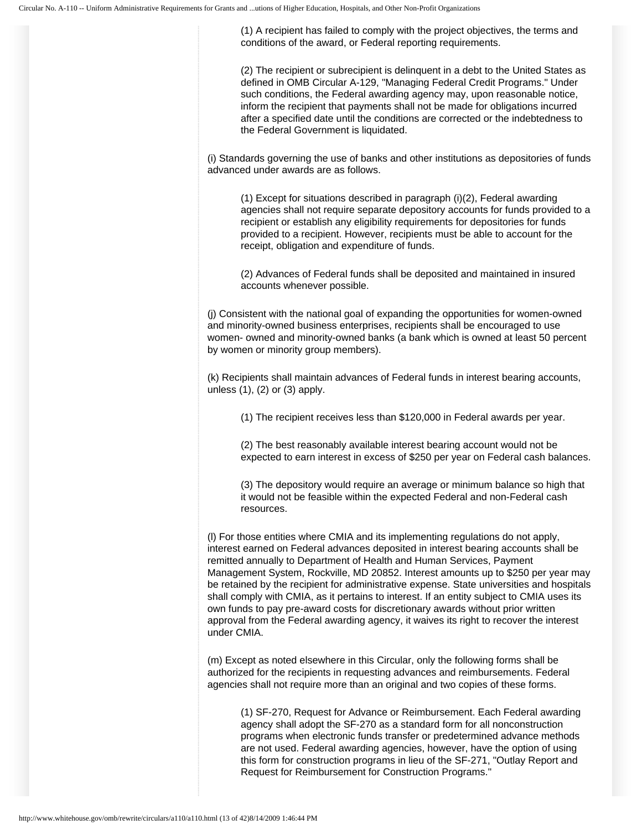(1) A recipient has failed to comply with the project objectives, the terms and conditions of the award, or Federal reporting requirements.

(2) The recipient or subrecipient is delinquent in a debt to the United States as defined in OMB Circular A-129, "Managing Federal Credit Programs." Under such conditions, the Federal awarding agency may, upon reasonable notice, inform the recipient that payments shall not be made for obligations incurred after a specified date until the conditions are corrected or the indebtedness to the Federal Government is liquidated.

(i) Standards governing the use of banks and other institutions as depositories of funds advanced under awards are as follows.

(1) Except for situations described in paragraph (i)(2), Federal awarding agencies shall not require separate depository accounts for funds provided to a recipient or establish any eligibility requirements for depositories for funds provided to a recipient. However, recipients must be able to account for the receipt, obligation and expenditure of funds.

(2) Advances of Federal funds shall be deposited and maintained in insured accounts whenever possible.

(j) Consistent with the national goal of expanding the opportunities for women-owned and minority-owned business enterprises, recipients shall be encouraged to use women- owned and minority-owned banks (a bank which is owned at least 50 percent by women or minority group members).

(k) Recipients shall maintain advances of Federal funds in interest bearing accounts, unless (1), (2) or (3) apply.

(1) The recipient receives less than \$120,000 in Federal awards per year.

(2) The best reasonably available interest bearing account would not be expected to earn interest in excess of \$250 per year on Federal cash balances.

(3) The depository would require an average or minimum balance so high that it would not be feasible within the expected Federal and non-Federal cash resources.

(l) For those entities where CMIA and its implementing regulations do not apply, interest earned on Federal advances deposited in interest bearing accounts shall be remitted annually to Department of Health and Human Services, Payment Management System, Rockville, MD 20852. Interest amounts up to \$250 per year may be retained by the recipient for administrative expense. State universities and hospitals shall comply with CMIA, as it pertains to interest. If an entity subject to CMIA uses its own funds to pay pre-award costs for discretionary awards without prior written approval from the Federal awarding agency, it waives its right to recover the interest under CMIA.

(m) Except as noted elsewhere in this Circular, only the following forms shall be authorized for the recipients in requesting advances and reimbursements. Federal agencies shall not require more than an original and two copies of these forms.

(1) SF-270, Request for Advance or Reimbursement. Each Federal awarding agency shall adopt the SF-270 as a standard form for all nonconstruction programs when electronic funds transfer or predetermined advance methods are not used. Federal awarding agencies, however, have the option of using this form for construction programs in lieu of the SF-271, "Outlay Report and Request for Reimbursement for Construction Programs."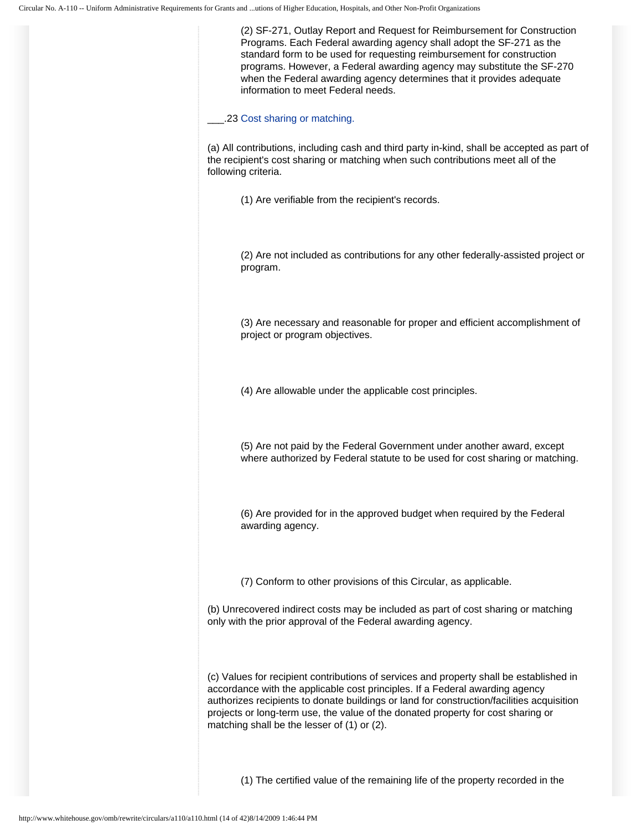(2) SF-271, Outlay Report and Request for Reimbursement for Construction Programs. Each Federal awarding agency shall adopt the SF-271 as the standard form to be used for requesting reimbursement for construction programs. However, a Federal awarding agency may substitute the SF-270 when the Federal awarding agency determines that it provides adequate information to meet Federal needs.

\_\_\_.23 [Cost sharing or matching.](#page-2-0)

<span id="page-13-0"></span>(a) All contributions, including cash and third party in-kind, shall be accepted as part of the recipient's cost sharing or matching when such contributions meet all of the following criteria.

(1) Are verifiable from the recipient's records.

(2) Are not included as contributions for any other federally-assisted project or program.

(3) Are necessary and reasonable for proper and efficient accomplishment of project or program objectives.

(4) Are allowable under the applicable cost principles.

(5) Are not paid by the Federal Government under another award, except where authorized by Federal statute to be used for cost sharing or matching.

(6) Are provided for in the approved budget when required by the Federal awarding agency.

(7) Conform to other provisions of this Circular, as applicable.

(b) Unrecovered indirect costs may be included as part of cost sharing or matching only with the prior approval of the Federal awarding agency.

(c) Values for recipient contributions of services and property shall be established in accordance with the applicable cost principles. If a Federal awarding agency authorizes recipients to donate buildings or land for construction/facilities acquisition projects or long-term use, the value of the donated property for cost sharing or matching shall be the lesser of (1) or (2).

(1) The certified value of the remaining life of the property recorded in the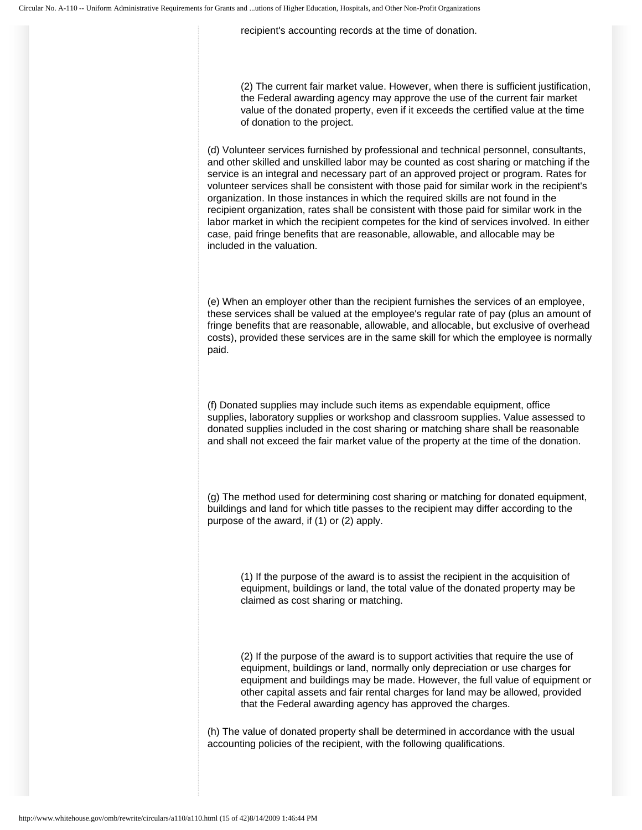recipient's accounting records at the time of donation.

(2) The current fair market value. However, when there is sufficient justification, the Federal awarding agency may approve the use of the current fair market value of the donated property, even if it exceeds the certified value at the time of donation to the project.

(d) Volunteer services furnished by professional and technical personnel, consultants, and other skilled and unskilled labor may be counted as cost sharing or matching if the service is an integral and necessary part of an approved project or program. Rates for volunteer services shall be consistent with those paid for similar work in the recipient's organization. In those instances in which the required skills are not found in the recipient organization, rates shall be consistent with those paid for similar work in the labor market in which the recipient competes for the kind of services involved. In either case, paid fringe benefits that are reasonable, allowable, and allocable may be included in the valuation.

(e) When an employer other than the recipient furnishes the services of an employee, these services shall be valued at the employee's regular rate of pay (plus an amount of fringe benefits that are reasonable, allowable, and allocable, but exclusive of overhead costs), provided these services are in the same skill for which the employee is normally paid.

(f) Donated supplies may include such items as expendable equipment, office supplies, laboratory supplies or workshop and classroom supplies. Value assessed to donated supplies included in the cost sharing or matching share shall be reasonable and shall not exceed the fair market value of the property at the time of the donation.

(g) The method used for determining cost sharing or matching for donated equipment, buildings and land for which title passes to the recipient may differ according to the purpose of the award, if (1) or (2) apply.

(1) If the purpose of the award is to assist the recipient in the acquisition of equipment, buildings or land, the total value of the donated property may be claimed as cost sharing or matching.

(2) If the purpose of the award is to support activities that require the use of equipment, buildings or land, normally only depreciation or use charges for equipment and buildings may be made. However, the full value of equipment or other capital assets and fair rental charges for land may be allowed, provided that the Federal awarding agency has approved the charges.

(h) The value of donated property shall be determined in accordance with the usual accounting policies of the recipient, with the following qualifications.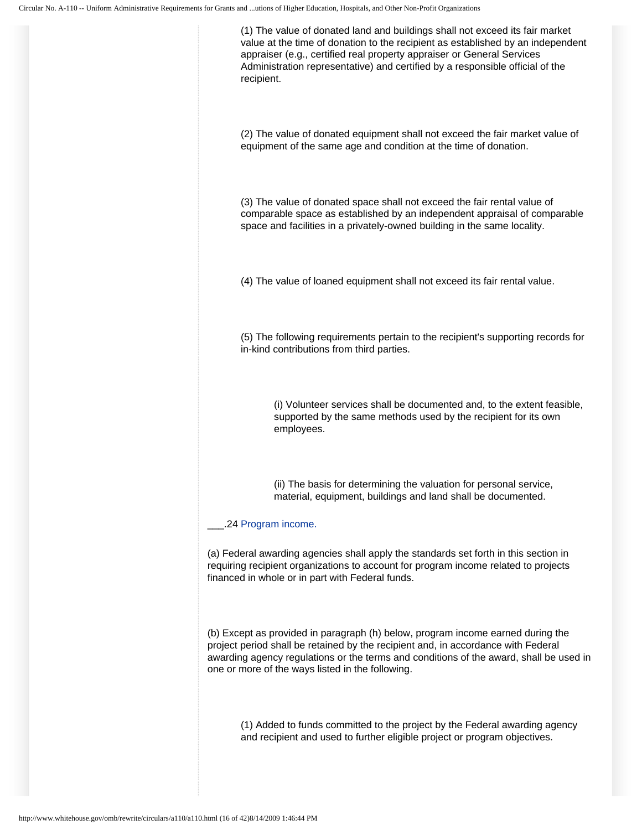(1) The value of donated land and buildings shall not exceed its fair market value at the time of donation to the recipient as established by an independent appraiser (e.g., certified real property appraiser or General Services Administration representative) and certified by a responsible official of the recipient.

(2) The value of donated equipment shall not exceed the fair market value of equipment of the same age and condition at the time of donation.

(3) The value of donated space shall not exceed the fair rental value of comparable space as established by an independent appraisal of comparable space and facilities in a privately-owned building in the same locality.

(4) The value of loaned equipment shall not exceed its fair rental value.

(5) The following requirements pertain to the recipient's supporting records for in-kind contributions from third parties.

(i) Volunteer services shall be documented and, to the extent feasible, supported by the same methods used by the recipient for its own employees.

(ii) The basis for determining the valuation for personal service, material, equipment, buildings and land shall be documented.

\_\_\_.24 [Program income.](#page-2-0)

<span id="page-15-0"></span>(a) Federal awarding agencies shall apply the standards set forth in this section in requiring recipient organizations to account for program income related to projects financed in whole or in part with Federal funds.

(b) Except as provided in paragraph (h) below, program income earned during the project period shall be retained by the recipient and, in accordance with Federal awarding agency regulations or the terms and conditions of the award, shall be used in one or more of the ways listed in the following.

(1) Added to funds committed to the project by the Federal awarding agency and recipient and used to further eligible project or program objectives.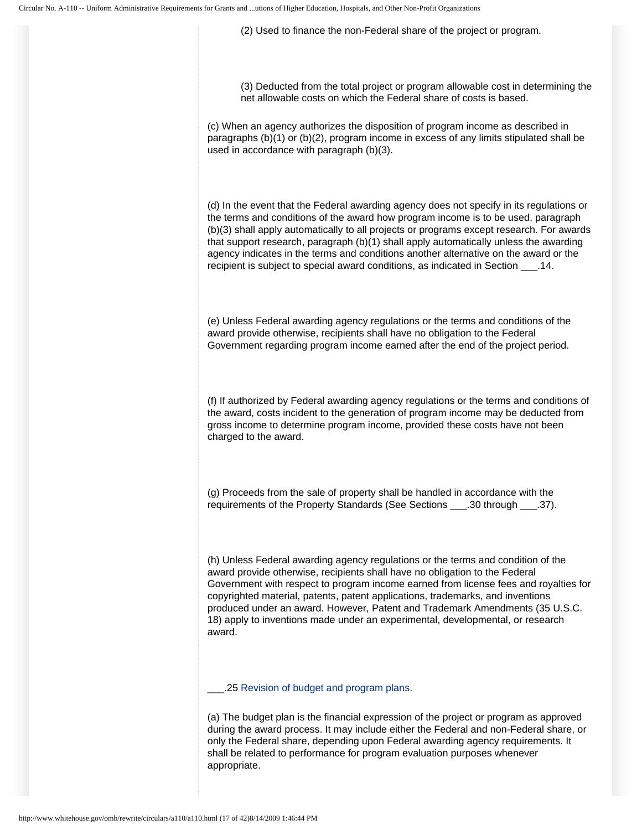(2) Used to finance the non-Federal share of the project or program.

(3) Deducted from the total project or program allowable cost in determining the net allowable costs on which the Federal share of costs is based.

(c) When an agency authorizes the disposition of program income as described in paragraphs (b)(1) or (b)(2), program income in excess of any limits stipulated shall be used in accordance with paragraph (b)(3).

(d) In the event that the Federal awarding agency does not specify in its regulations or the terms and conditions of the award how program income is to be used, paragraph (b)(3) shall apply automatically to all projects or programs except research. For awards that support research, paragraph (b)(1) shall apply automatically unless the awarding agency indicates in the terms and conditions another alternative on the award or the recipient is subject to special award conditions, as indicated in Section \_\_\_.14.

(e) Unless Federal awarding agency regulations or the terms and conditions of the award provide otherwise, recipients shall have no obligation to the Federal Government regarding program income earned after the end of the project period.

(f) If authorized by Federal awarding agency regulations or the terms and conditions of the award, costs incident to the generation of program income may be deducted from gross income to determine program income, provided these costs have not been charged to the award.

(g) Proceeds from the sale of property shall be handled in accordance with the requirements of the Property Standards (See Sections \_\_\_.30 through \_\_\_.37).

(h) Unless Federal awarding agency regulations or the terms and condition of the award provide otherwise, recipients shall have no obligation to the Federal Government with respect to program income earned from license fees and royalties for copyrighted material, patents, patent applications, trademarks, and inventions produced under an award. However, Patent and Trademark Amendments (35 U.S.C. 18) apply to inventions made under an experimental, developmental, or research award.

<span id="page-16-0"></span>\_\_\_.25 [Revision of budget and program plans.](#page-2-0)

(a) The budget plan is the financial expression of the project or program as approved during the award process. It may include either the Federal and non-Federal share, or only the Federal share, depending upon Federal awarding agency requirements. It shall be related to performance for program evaluation purposes whenever appropriate.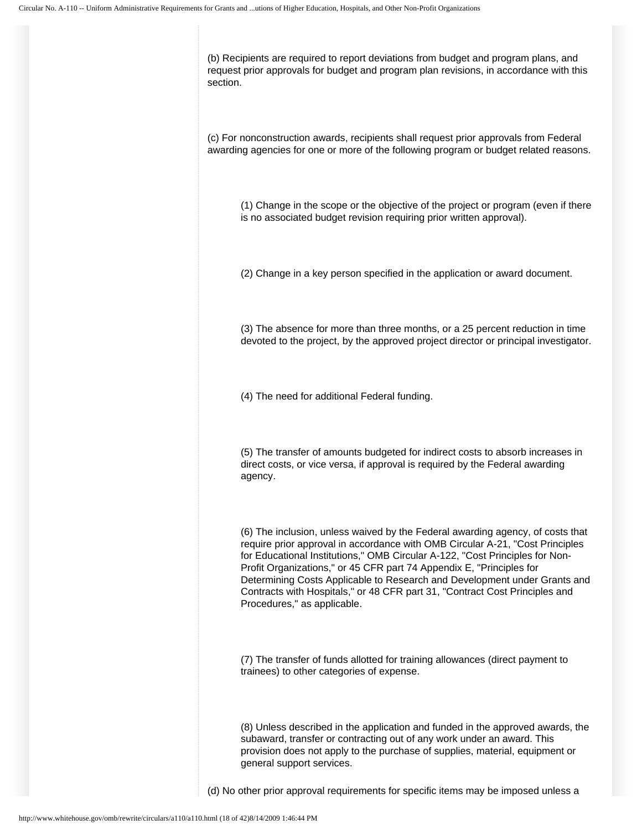(b) Recipients are required to report deviations from budget and program plans, and request prior approvals for budget and program plan revisions, in accordance with this section.

(c) For nonconstruction awards, recipients shall request prior approvals from Federal awarding agencies for one or more of the following program or budget related reasons.

(1) Change in the scope or the objective of the project or program (even if there is no associated budget revision requiring prior written approval).

(2) Change in a key person specified in the application or award document.

(3) The absence for more than three months, or a 25 percent reduction in time devoted to the project, by the approved project director or principal investigator.

(4) The need for additional Federal funding.

(5) The transfer of amounts budgeted for indirect costs to absorb increases in direct costs, or vice versa, if approval is required by the Federal awarding agency.

(6) The inclusion, unless waived by the Federal awarding agency, of costs that require prior approval in accordance with OMB Circular A-21, "Cost Principles for Educational Institutions," OMB Circular A-122, "Cost Principles for Non-Profit Organizations," or 45 CFR part 74 Appendix E, "Principles for Determining Costs Applicable to Research and Development under Grants and Contracts with Hospitals," or 48 CFR part 31, "Contract Cost Principles and Procedures," as applicable.

(7) The transfer of funds allotted for training allowances (direct payment to trainees) to other categories of expense.

(8) Unless described in the application and funded in the approved awards, the subaward, transfer or contracting out of any work under an award. This provision does not apply to the purchase of supplies, material, equipment or general support services.

(d) No other prior approval requirements for specific items may be imposed unless a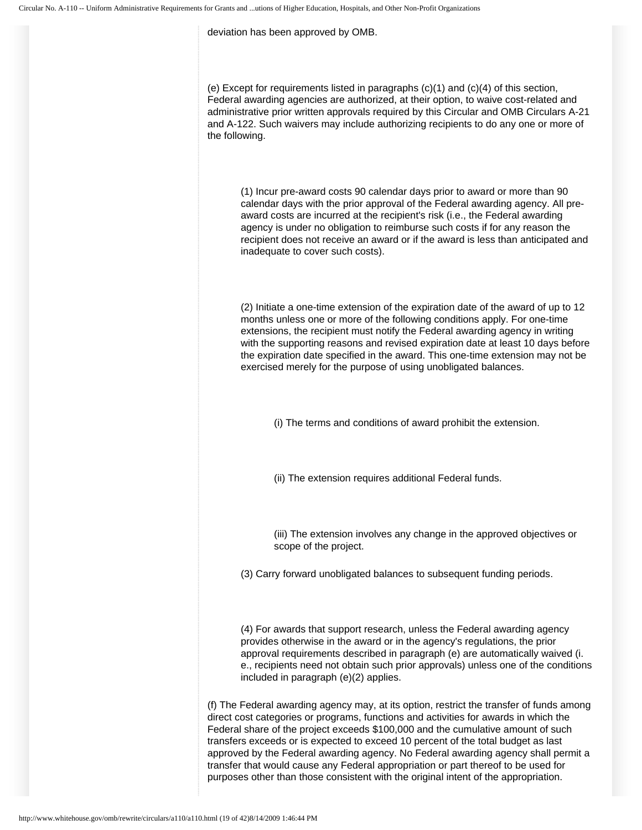deviation has been approved by OMB.

(e) Except for requirements listed in paragraphs  $(c)(1)$  and  $(c)(4)$  of this section, Federal awarding agencies are authorized, at their option, to waive cost-related and administrative prior written approvals required by this Circular and OMB Circulars A-21 and A-122. Such waivers may include authorizing recipients to do any one or more of the following.

(1) Incur pre-award costs 90 calendar days prior to award or more than 90 calendar days with the prior approval of the Federal awarding agency. All preaward costs are incurred at the recipient's risk (i.e., the Federal awarding agency is under no obligation to reimburse such costs if for any reason the recipient does not receive an award or if the award is less than anticipated and inadequate to cover such costs).

(2) Initiate a one-time extension of the expiration date of the award of up to 12 months unless one or more of the following conditions apply. For one-time extensions, the recipient must notify the Federal awarding agency in writing with the supporting reasons and revised expiration date at least 10 days before the expiration date specified in the award. This one-time extension may not be exercised merely for the purpose of using unobligated balances.

(i) The terms and conditions of award prohibit the extension.

(ii) The extension requires additional Federal funds.

(iii) The extension involves any change in the approved objectives or scope of the project.

(3) Carry forward unobligated balances to subsequent funding periods.

(4) For awards that support research, unless the Federal awarding agency provides otherwise in the award or in the agency's regulations, the prior approval requirements described in paragraph (e) are automatically waived (i. e., recipients need not obtain such prior approvals) unless one of the conditions included in paragraph (e)(2) applies.

(f) The Federal awarding agency may, at its option, restrict the transfer of funds among direct cost categories or programs, functions and activities for awards in which the Federal share of the project exceeds \$100,000 and the cumulative amount of such transfers exceeds or is expected to exceed 10 percent of the total budget as last approved by the Federal awarding agency. No Federal awarding agency shall permit a transfer that would cause any Federal appropriation or part thereof to be used for purposes other than those consistent with the original intent of the appropriation.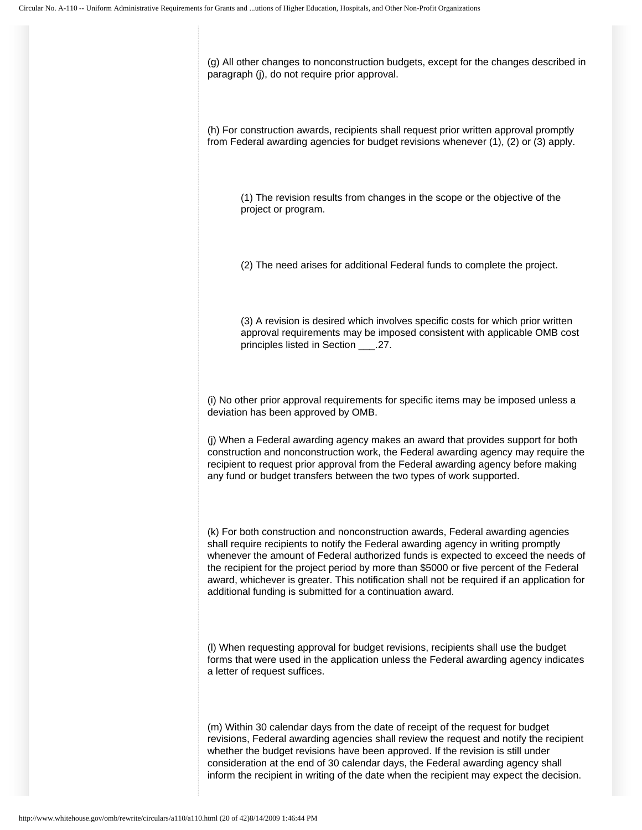(g) All other changes to nonconstruction budgets, except for the changes described in paragraph (j), do not require prior approval.

(h) For construction awards, recipients shall request prior written approval promptly from Federal awarding agencies for budget revisions whenever (1), (2) or (3) apply.

(1) The revision results from changes in the scope or the objective of the project or program.

(2) The need arises for additional Federal funds to complete the project.

(3) A revision is desired which involves specific costs for which prior written approval requirements may be imposed consistent with applicable OMB cost principles listed in Section \_\_\_.27.

(i) No other prior approval requirements for specific items may be imposed unless a deviation has been approved by OMB.

(j) When a Federal awarding agency makes an award that provides support for both construction and nonconstruction work, the Federal awarding agency may require the recipient to request prior approval from the Federal awarding agency before making any fund or budget transfers between the two types of work supported.

(k) For both construction and nonconstruction awards, Federal awarding agencies shall require recipients to notify the Federal awarding agency in writing promptly whenever the amount of Federal authorized funds is expected to exceed the needs of the recipient for the project period by more than \$5000 or five percent of the Federal award, whichever is greater. This notification shall not be required if an application for additional funding is submitted for a continuation award.

(l) When requesting approval for budget revisions, recipients shall use the budget forms that were used in the application unless the Federal awarding agency indicates a letter of request suffices.

(m) Within 30 calendar days from the date of receipt of the request for budget revisions, Federal awarding agencies shall review the request and notify the recipient whether the budget revisions have been approved. If the revision is still under consideration at the end of 30 calendar days, the Federal awarding agency shall inform the recipient in writing of the date when the recipient may expect the decision.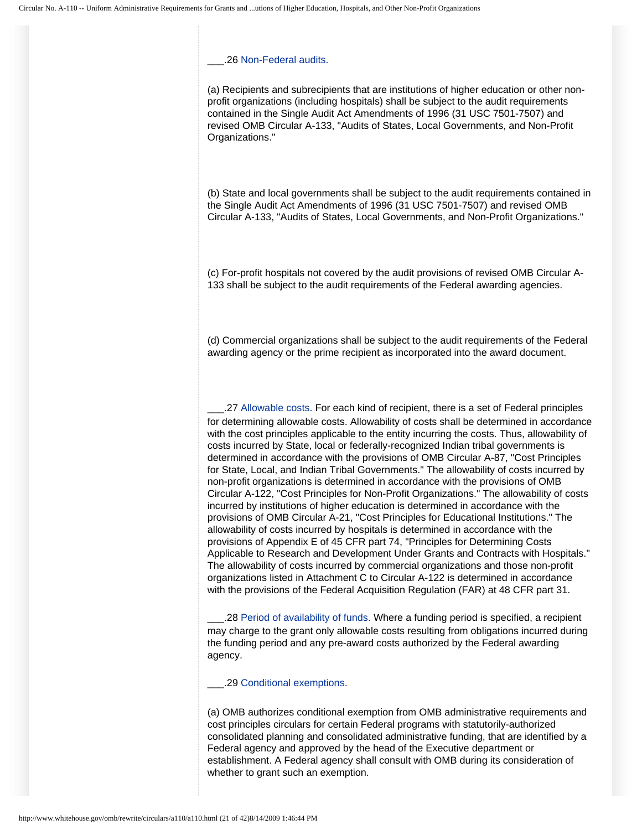#### \_\_\_.26 [Non-Federal audits.](#page-2-0)

<span id="page-20-0"></span>(a) Recipients and subrecipients that are institutions of higher education or other nonprofit organizations (including hospitals) shall be subject to the audit requirements contained in the Single Audit Act Amendments of 1996 (31 USC 7501-7507) and revised OMB Circular A-133, "Audits of States, Local Governments, and Non-Profit Organizations."

(b) State and local governments shall be subject to the audit requirements contained in the Single Audit Act Amendments of 1996 (31 USC 7501-7507) and revised OMB Circular A-133, "Audits of States, Local Governments, and Non-Profit Organizations."

(c) For-profit hospitals not covered by the audit provisions of revised OMB Circular A-133 shall be subject to the audit requirements of the Federal awarding agencies.

(d) Commercial organizations shall be subject to the audit requirements of the Federal awarding agency or the prime recipient as incorporated into the award document.

<span id="page-20-1"></span>\_\_\_.27 [Allowable costs.](#page-2-0) For each kind of recipient, there is a set of Federal principles for determining allowable costs. Allowability of costs shall be determined in accordance with the cost principles applicable to the entity incurring the costs. Thus, allowability of costs incurred by State, local or federally-recognized Indian tribal governments is determined in accordance with the provisions of OMB Circular A-87, "Cost Principles for State, Local, and Indian Tribal Governments." The allowability of costs incurred by non-profit organizations is determined in accordance with the provisions of OMB Circular A-122, "Cost Principles for Non-Profit Organizations." The allowability of costs incurred by institutions of higher education is determined in accordance with the provisions of OMB Circular A-21, "Cost Principles for Educational Institutions." The allowability of costs incurred by hospitals is determined in accordance with the provisions of Appendix E of 45 CFR part 74, "Principles for Determining Costs Applicable to Research and Development Under Grants and Contracts with Hospitals." The allowability of costs incurred by commercial organizations and those non-profit organizations listed in Attachment C to Circular A-122 is determined in accordance with the provisions of the Federal Acquisition Regulation (FAR) at 48 CFR part 31.

<span id="page-20-2"></span>\_\_\_.28 [Period of availability of funds.](#page-2-0) Where a funding period is specified, a recipient may charge to the grant only allowable costs resulting from obligations incurred during the funding period and any pre-award costs authorized by the Federal awarding agency.

\_\_\_.29 [Conditional exemptions.](#page-2-0)

<span id="page-20-3"></span>(a) OMB authorizes conditional exemption from OMB administrative requirements and cost principles circulars for certain Federal programs with statutorily-authorized consolidated planning and consolidated administrative funding, that are identified by a Federal agency and approved by the head of the Executive department or establishment. A Federal agency shall consult with OMB during its consideration of whether to grant such an exemption.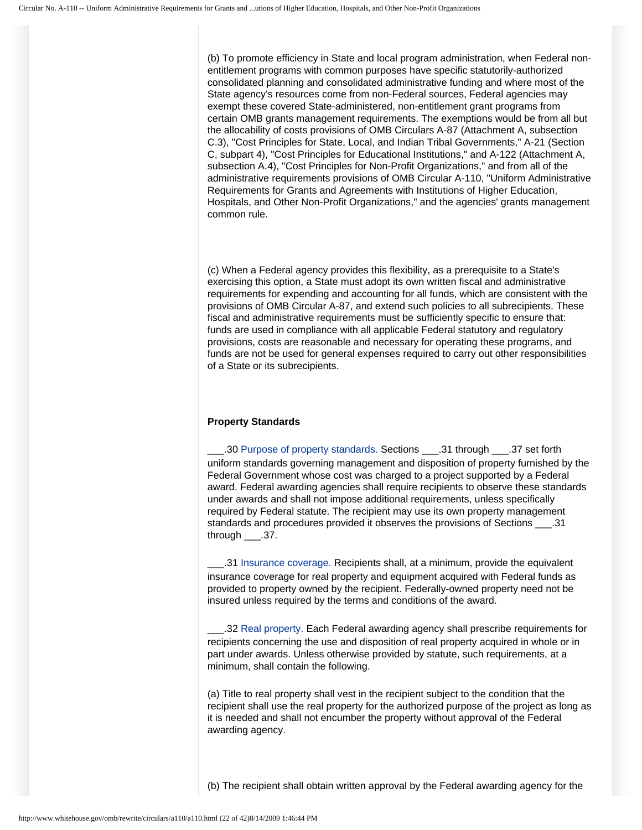(b) To promote efficiency in State and local program administration, when Federal nonentitlement programs with common purposes have specific statutorily-authorized consolidated planning and consolidated administrative funding and where most of the State agency's resources come from non-Federal sources, Federal agencies may exempt these covered State-administered, non-entitlement grant programs from certain OMB grants management requirements. The exemptions would be from all but the allocability of costs provisions of OMB Circulars A-87 (Attachment A, subsection C.3), "Cost Principles for State, Local, and Indian Tribal Governments," A-21 (Section C, subpart 4), "Cost Principles for Educational Institutions," and A-122 (Attachment A, subsection A.4), "Cost Principles for Non-Profit Organizations," and from all of the administrative requirements provisions of OMB Circular A-110, "Uniform Administrative Requirements for Grants and Agreements with Institutions of Higher Education, Hospitals, and Other Non-Profit Organizations," and the agencies' grants management common rule.

(c) When a Federal agency provides this flexibility, as a prerequisite to a State's exercising this option, a State must adopt its own written fiscal and administrative requirements for expending and accounting for all funds, which are consistent with the provisions of OMB Circular A-87, and extend such policies to all subrecipients. These fiscal and administrative requirements must be sufficiently specific to ensure that: funds are used in compliance with all applicable Federal statutory and regulatory provisions, costs are reasonable and necessary for operating these programs, and funds are not be used for general expenses required to carry out other responsibilities of a State or its subrecipients.

#### **Property Standards**

<span id="page-21-0"></span>\_\_\_.30 [Purpose of property standards.](#page-2-1) Sections \_\_\_.31 through \_\_\_.37 set forth uniform standards governing management and disposition of property furnished by the Federal Government whose cost was charged to a project supported by a Federal award. Federal awarding agencies shall require recipients to observe these standards under awards and shall not impose additional requirements, unless specifically required by Federal statute. The recipient may use its own property management standards and procedures provided it observes the provisions of Sections \_\_\_.31 through \_\_\_.37.

<span id="page-21-1"></span>\_\_\_.31 [Insurance coverage.](#page-2-1) Recipients shall, at a minimum, provide the equivalent insurance coverage for real property and equipment acquired with Federal funds as provided to property owned by the recipient. Federally-owned property need not be insured unless required by the terms and conditions of the award.

<span id="page-21-2"></span>\_\_\_.32 [Real property.](#page-2-1) Each Federal awarding agency shall prescribe requirements for recipients concerning the use and disposition of real property acquired in whole or in part under awards. Unless otherwise provided by statute, such requirements, at a minimum, shall contain the following.

(a) Title to real property shall vest in the recipient subject to the condition that the recipient shall use the real property for the authorized purpose of the project as long as it is needed and shall not encumber the property without approval of the Federal awarding agency.

(b) The recipient shall obtain written approval by the Federal awarding agency for the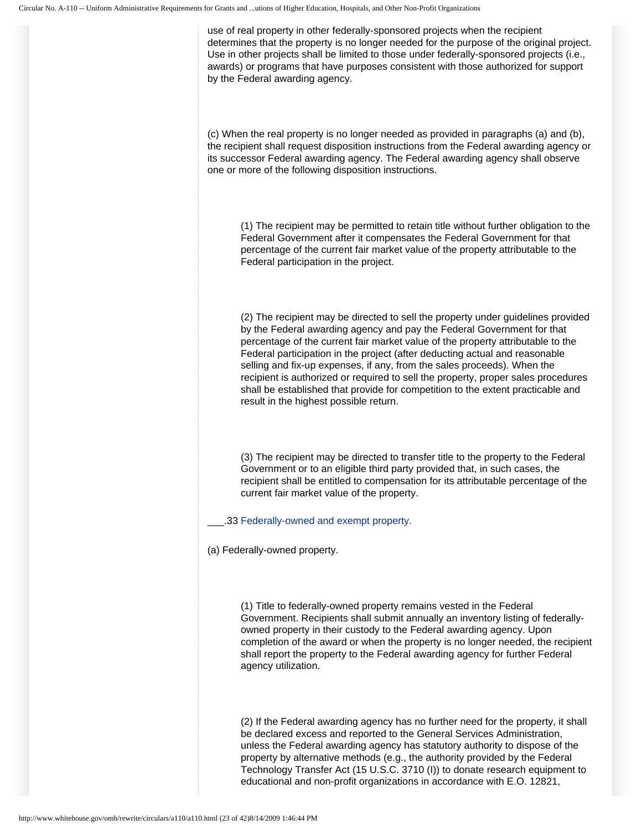use of real property in other federally-sponsored projects when the recipient determines that the property is no longer needed for the purpose of the original project. Use in other projects shall be limited to those under federally-sponsored projects (i.e., awards) or programs that have purposes consistent with those authorized for support by the Federal awarding agency.

(c) When the real property is no longer needed as provided in paragraphs (a) and (b), the recipient shall request disposition instructions from the Federal awarding agency or its successor Federal awarding agency. The Federal awarding agency shall observe one or more of the following disposition instructions.

(1) The recipient may be permitted to retain title without further obligation to the Federal Government after it compensates the Federal Government for that percentage of the current fair market value of the property attributable to the Federal participation in the project.

(2) The recipient may be directed to sell the property under guidelines provided by the Federal awarding agency and pay the Federal Government for that percentage of the current fair market value of the property attributable to the Federal participation in the project (after deducting actual and reasonable selling and fix-up expenses, if any, from the sales proceeds). When the recipient is authorized or required to sell the property, proper sales procedures shall be established that provide for competition to the extent practicable and result in the highest possible return.

(3) The recipient may be directed to transfer title to the property to the Federal Government or to an eligible third party provided that, in such cases, the recipient shall be entitled to compensation for its attributable percentage of the current fair market value of the property.

\_\_\_.33 [Federally-owned and exempt property.](#page-2-1)

<span id="page-22-0"></span>(a) Federally-owned property.

(1) Title to federally-owned property remains vested in the Federal Government. Recipients shall submit annually an inventory listing of federallyowned property in their custody to the Federal awarding agency. Upon completion of the award or when the property is no longer needed, the recipient shall report the property to the Federal awarding agency for further Federal agency utilization.

(2) If the Federal awarding agency has no further need for the property, it shall be declared excess and reported to the General Services Administration, unless the Federal awarding agency has statutory authority to dispose of the property by alternative methods (e.g., the authority provided by the Federal Technology Transfer Act (15 U.S.C. 3710 (I)) to donate research equipment to educational and non-profit organizations in accordance with E.O. 12821,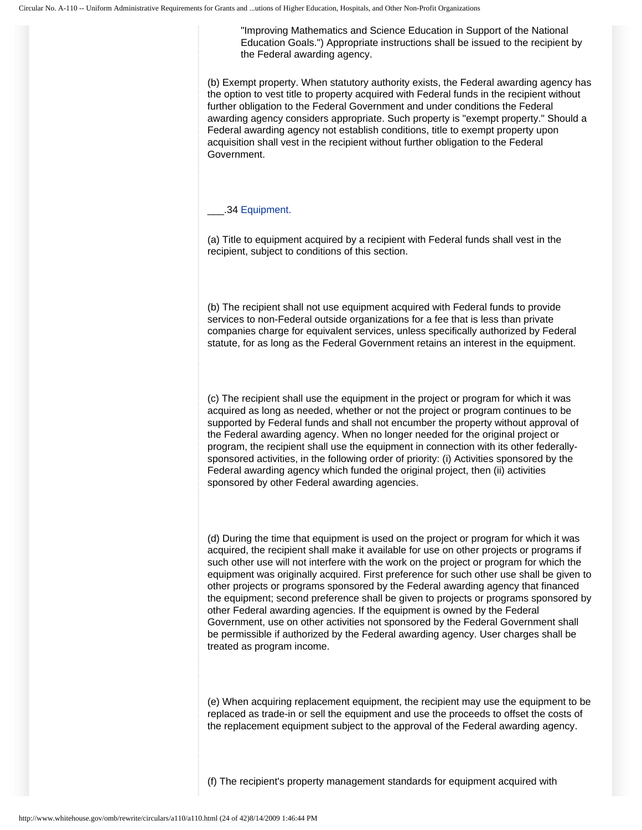"Improving Mathematics and Science Education in Support of the National Education Goals.") Appropriate instructions shall be issued to the recipient by the Federal awarding agency.

(b) Exempt property. When statutory authority exists, the Federal awarding agency has the option to vest title to property acquired with Federal funds in the recipient without further obligation to the Federal Government and under conditions the Federal awarding agency considers appropriate. Such property is "exempt property." Should a Federal awarding agency not establish conditions, title to exempt property upon acquisition shall vest in the recipient without further obligation to the Federal Government.

\_\_\_.34 [Equipment.](#page-2-1)

<span id="page-23-0"></span>(a) Title to equipment acquired by a recipient with Federal funds shall vest in the recipient, subject to conditions of this section.

(b) The recipient shall not use equipment acquired with Federal funds to provide services to non-Federal outside organizations for a fee that is less than private companies charge for equivalent services, unless specifically authorized by Federal statute, for as long as the Federal Government retains an interest in the equipment.

(c) The recipient shall use the equipment in the project or program for which it was acquired as long as needed, whether or not the project or program continues to be supported by Federal funds and shall not encumber the property without approval of the Federal awarding agency. When no longer needed for the original project or program, the recipient shall use the equipment in connection with its other federallysponsored activities, in the following order of priority: (i) Activities sponsored by the Federal awarding agency which funded the original project, then (ii) activities sponsored by other Federal awarding agencies.

(d) During the time that equipment is used on the project or program for which it was acquired, the recipient shall make it available for use on other projects or programs if such other use will not interfere with the work on the project or program for which the equipment was originally acquired. First preference for such other use shall be given to other projects or programs sponsored by the Federal awarding agency that financed the equipment; second preference shall be given to projects or programs sponsored by other Federal awarding agencies. If the equipment is owned by the Federal Government, use on other activities not sponsored by the Federal Government shall be permissible if authorized by the Federal awarding agency. User charges shall be treated as program income.

(e) When acquiring replacement equipment, the recipient may use the equipment to be replaced as trade-in or sell the equipment and use the proceeds to offset the costs of the replacement equipment subject to the approval of the Federal awarding agency.

(f) The recipient's property management standards for equipment acquired with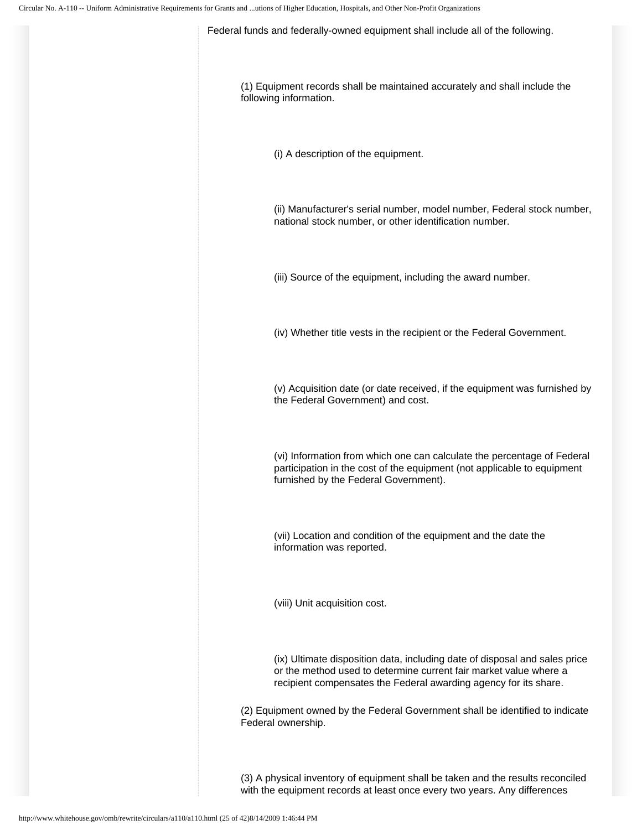Federal funds and federally-owned equipment shall include all of the following.

(1) Equipment records shall be maintained accurately and shall include the following information.

(i) A description of the equipment.

(ii) Manufacturer's serial number, model number, Federal stock number, national stock number, or other identification number.

(iii) Source of the equipment, including the award number.

(iv) Whether title vests in the recipient or the Federal Government.

(v) Acquisition date (or date received, if the equipment was furnished by the Federal Government) and cost.

(vi) Information from which one can calculate the percentage of Federal participation in the cost of the equipment (not applicable to equipment furnished by the Federal Government).

(vii) Location and condition of the equipment and the date the information was reported.

(viii) Unit acquisition cost.

(ix) Ultimate disposition data, including date of disposal and sales price or the method used to determine current fair market value where a recipient compensates the Federal awarding agency for its share.

(2) Equipment owned by the Federal Government shall be identified to indicate Federal ownership.

(3) A physical inventory of equipment shall be taken and the results reconciled with the equipment records at least once every two years. Any differences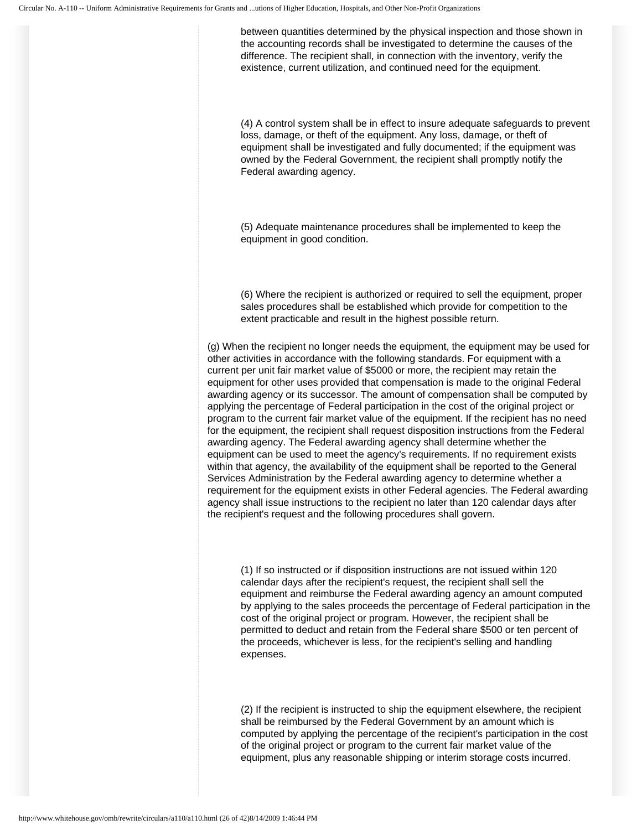between quantities determined by the physical inspection and those shown in the accounting records shall be investigated to determine the causes of the difference. The recipient shall, in connection with the inventory, verify the existence, current utilization, and continued need for the equipment.

(4) A control system shall be in effect to insure adequate safeguards to prevent loss, damage, or theft of the equipment. Any loss, damage, or theft of equipment shall be investigated and fully documented; if the equipment was owned by the Federal Government, the recipient shall promptly notify the Federal awarding agency.

(5) Adequate maintenance procedures shall be implemented to keep the equipment in good condition.

(6) Where the recipient is authorized or required to sell the equipment, proper sales procedures shall be established which provide for competition to the extent practicable and result in the highest possible return.

(g) When the recipient no longer needs the equipment, the equipment may be used for other activities in accordance with the following standards. For equipment with a current per unit fair market value of \$5000 or more, the recipient may retain the equipment for other uses provided that compensation is made to the original Federal awarding agency or its successor. The amount of compensation shall be computed by applying the percentage of Federal participation in the cost of the original project or program to the current fair market value of the equipment. If the recipient has no need for the equipment, the recipient shall request disposition instructions from the Federal awarding agency. The Federal awarding agency shall determine whether the equipment can be used to meet the agency's requirements. If no requirement exists within that agency, the availability of the equipment shall be reported to the General Services Administration by the Federal awarding agency to determine whether a requirement for the equipment exists in other Federal agencies. The Federal awarding agency shall issue instructions to the recipient no later than 120 calendar days after the recipient's request and the following procedures shall govern.

(1) If so instructed or if disposition instructions are not issued within 120 calendar days after the recipient's request, the recipient shall sell the equipment and reimburse the Federal awarding agency an amount computed by applying to the sales proceeds the percentage of Federal participation in the cost of the original project or program. However, the recipient shall be permitted to deduct and retain from the Federal share \$500 or ten percent of the proceeds, whichever is less, for the recipient's selling and handling expenses.

(2) If the recipient is instructed to ship the equipment elsewhere, the recipient shall be reimbursed by the Federal Government by an amount which is computed by applying the percentage of the recipient's participation in the cost of the original project or program to the current fair market value of the equipment, plus any reasonable shipping or interim storage costs incurred.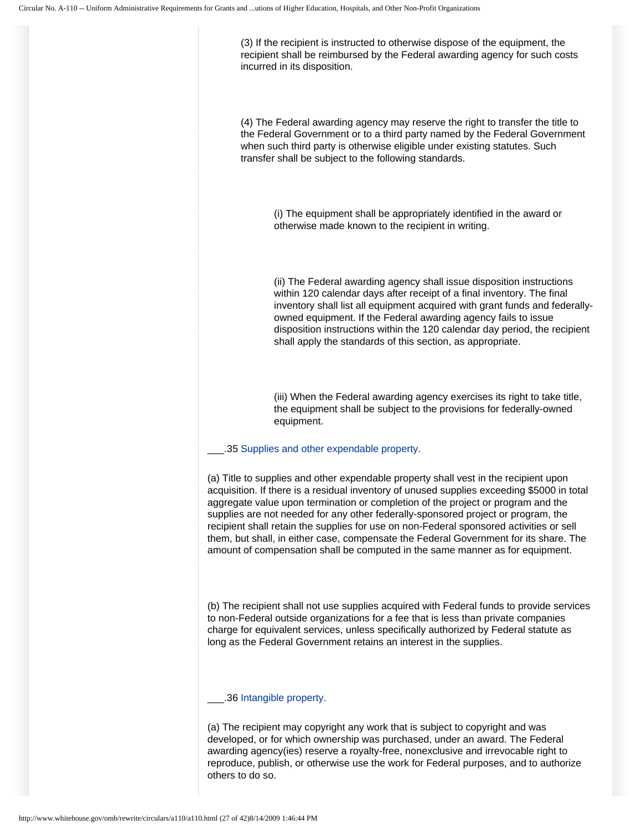(3) If the recipient is instructed to otherwise dispose of the equipment, the recipient shall be reimbursed by the Federal awarding agency for such costs incurred in its disposition.

(4) The Federal awarding agency may reserve the right to transfer the title to the Federal Government or to a third party named by the Federal Government when such third party is otherwise eligible under existing statutes. Such transfer shall be subject to the following standards.

(i) The equipment shall be appropriately identified in the award or otherwise made known to the recipient in writing.

(ii) The Federal awarding agency shall issue disposition instructions within 120 calendar days after receipt of a final inventory. The final inventory shall list all equipment acquired with grant funds and federallyowned equipment. If the Federal awarding agency fails to issue disposition instructions within the 120 calendar day period, the recipient shall apply the standards of this section, as appropriate.

(iii) When the Federal awarding agency exercises its right to take title, the equipment shall be subject to the provisions for federally-owned equipment.

## \_\_\_.35 [Supplies and other expendable property.](#page-2-1)

<span id="page-26-0"></span>(a) Title to supplies and other expendable property shall vest in the recipient upon acquisition. If there is a residual inventory of unused supplies exceeding \$5000 in total aggregate value upon termination or completion of the project or program and the supplies are not needed for any other federally-sponsored project or program, the recipient shall retain the supplies for use on non-Federal sponsored activities or sell them, but shall, in either case, compensate the Federal Government for its share. The amount of compensation shall be computed in the same manner as for equipment.

(b) The recipient shall not use supplies acquired with Federal funds to provide services to non-Federal outside organizations for a fee that is less than private companies charge for equivalent services, unless specifically authorized by Federal statute as long as the Federal Government retains an interest in the supplies.

### <span id="page-26-1"></span>\_\_\_.36 [Intangible property.](#page-2-1)

(a) The recipient may copyright any work that is subject to copyright and was developed, or for which ownership was purchased, under an award. The Federal awarding agency(ies) reserve a royalty-free, nonexclusive and irrevocable right to reproduce, publish, or otherwise use the work for Federal purposes, and to authorize others to do so.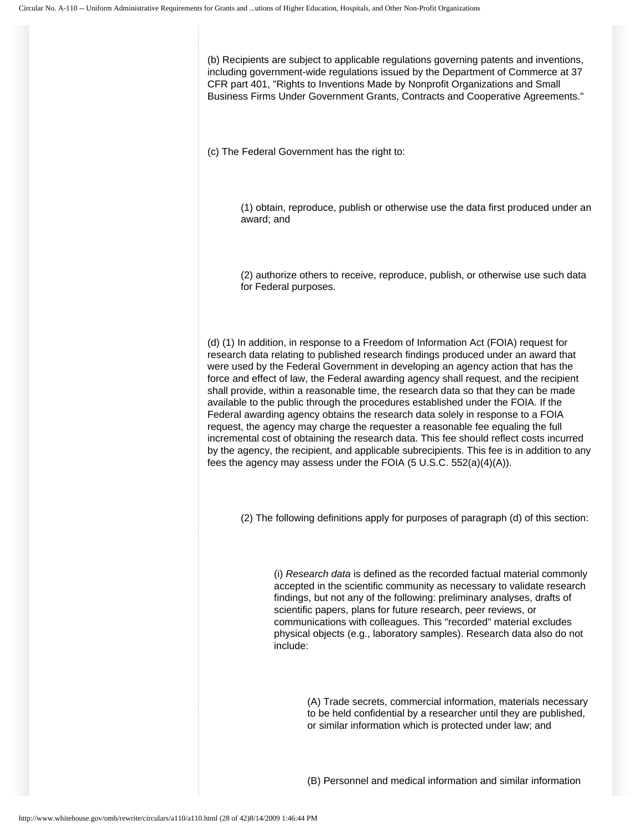(b) Recipients are subject to applicable regulations governing patents and inventions, including government-wide regulations issued by the Department of Commerce at 37 CFR part 401, "Rights to Inventions Made by Nonprofit Organizations and Small Business Firms Under Government Grants, Contracts and Cooperative Agreements."

(c) The Federal Government has the right to:

(1) obtain, reproduce, publish or otherwise use the data first produced under an award; and

(2) authorize others to receive, reproduce, publish, or otherwise use such data for Federal purposes.

(d) (1) In addition, in response to a Freedom of Information Act (FOIA) request for research data relating to published research findings produced under an award that were used by the Federal Government in developing an agency action that has the force and effect of law, the Federal awarding agency shall request, and the recipient shall provide, within a reasonable time, the research data so that they can be made available to the public through the procedures established under the FOIA. If the Federal awarding agency obtains the research data solely in response to a FOIA request, the agency may charge the requester a reasonable fee equaling the full incremental cost of obtaining the research data. This fee should reflect costs incurred by the agency, the recipient, and applicable subrecipients. This fee is in addition to any fees the agency may assess under the FOIA (5 U.S.C. 552(a)(4)(A)).

(2) The following definitions apply for purposes of paragraph (d) of this section:

(i) *Research data* is defined as the recorded factual material commonly accepted in the scientific community as necessary to validate research findings, but not any of the following: preliminary analyses, drafts of scientific papers, plans for future research, peer reviews, or communications with colleagues. This "recorded" material excludes physical objects (e.g., laboratory samples). Research data also do not include:

> (A) Trade secrets, commercial information, materials necessary to be held confidential by a researcher until they are published, or similar information which is protected under law; and

(B) Personnel and medical information and similar information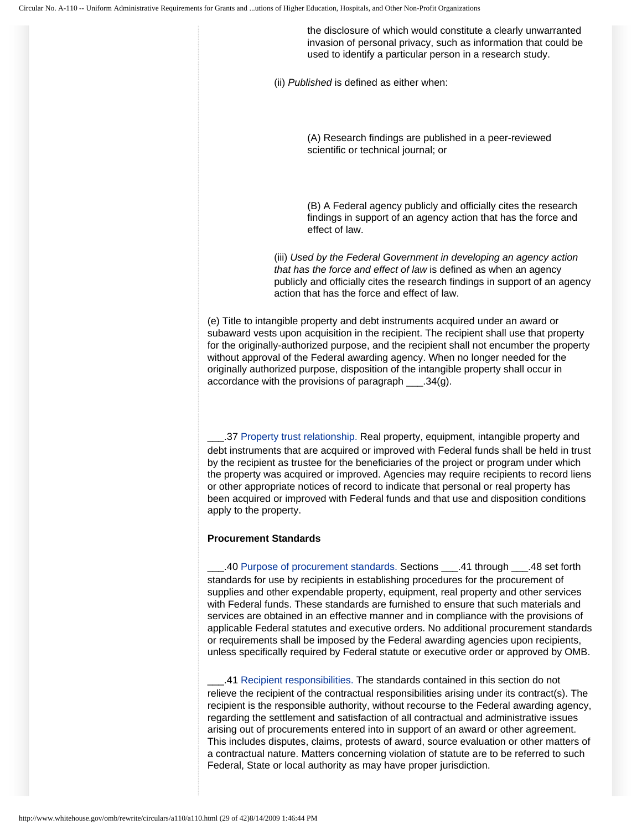the disclosure of which would constitute a clearly unwarranted invasion of personal privacy, such as information that could be used to identify a particular person in a research study.

(ii) *Published* is defined as either when:

(A) Research findings are published in a peer-reviewed scientific or technical journal; or

(B) A Federal agency publicly and officially cites the research findings in support of an agency action that has the force and effect of law.

(iii) *Used by the Federal Government in developing an agency action that has the force and effect of law* is defined as when an agency publicly and officially cites the research findings in support of an agency action that has the force and effect of law.

(e) Title to intangible property and debt instruments acquired under an award or subaward vests upon acquisition in the recipient. The recipient shall use that property for the originally-authorized purpose, and the recipient shall not encumber the property without approval of the Federal awarding agency. When no longer needed for the originally authorized purpose, disposition of the intangible property shall occur in accordance with the provisions of paragraph \_\_\_.34(g).

<span id="page-28-0"></span>\_\_\_.37 [Property trust relationship.](#page-2-1) Real property, equipment, intangible property and debt instruments that are acquired or improved with Federal funds shall be held in trust by the recipient as trustee for the beneficiaries of the project or program under which the property was acquired or improved. Agencies may require recipients to record liens or other appropriate notices of record to indicate that personal or real property has been acquired or improved with Federal funds and that use and disposition conditions apply to the property.

### **Procurement Standards**

<span id="page-28-1"></span>\_\_\_.40 [Purpose of procurement standards.](#page-2-2) Sections \_\_\_.41 through \_\_\_.48 set forth standards for use by recipients in establishing procedures for the procurement of supplies and other expendable property, equipment, real property and other services with Federal funds. These standards are furnished to ensure that such materials and services are obtained in an effective manner and in compliance with the provisions of applicable Federal statutes and executive orders. No additional procurement standards or requirements shall be imposed by the Federal awarding agencies upon recipients, unless specifically required by Federal statute or executive order or approved by OMB.

<span id="page-28-2"></span>\_\_\_.41 [Recipient responsibilities.](#page-2-2) The standards contained in this section do not relieve the recipient of the contractual responsibilities arising under its contract(s). The recipient is the responsible authority, without recourse to the Federal awarding agency, regarding the settlement and satisfaction of all contractual and administrative issues arising out of procurements entered into in support of an award or other agreement. This includes disputes, claims, protests of award, source evaluation or other matters of a contractual nature. Matters concerning violation of statute are to be referred to such Federal, State or local authority as may have proper jurisdiction.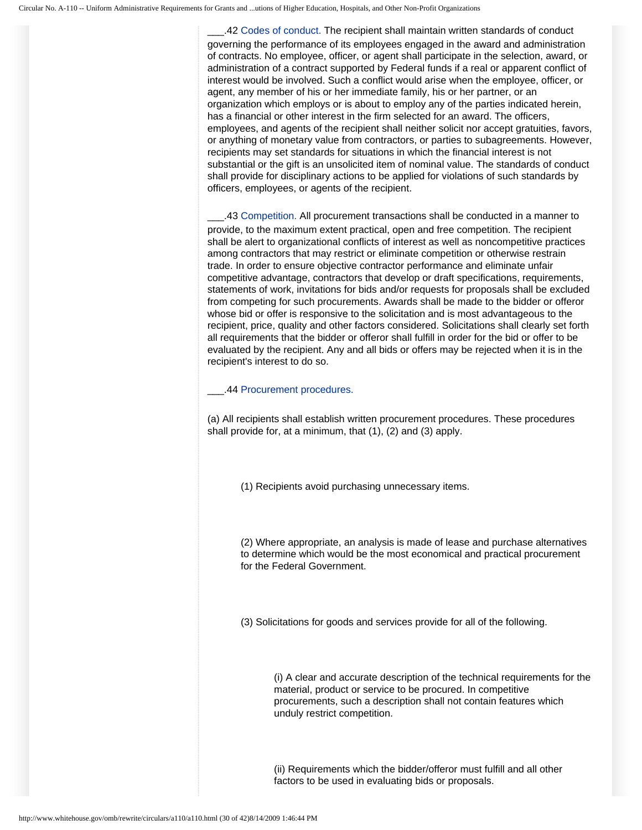<span id="page-29-0"></span>\_\_\_.42 [Codes of conduct.](#page-2-2) The recipient shall maintain written standards of conduct governing the performance of its employees engaged in the award and administration of contracts. No employee, officer, or agent shall participate in the selection, award, or administration of a contract supported by Federal funds if a real or apparent conflict of interest would be involved. Such a conflict would arise when the employee, officer, or agent, any member of his or her immediate family, his or her partner, or an organization which employs or is about to employ any of the parties indicated herein, has a financial or other interest in the firm selected for an award. The officers, employees, and agents of the recipient shall neither solicit nor accept gratuities, favors, or anything of monetary value from contractors, or parties to subagreements. However, recipients may set standards for situations in which the financial interest is not substantial or the gift is an unsolicited item of nominal value. The standards of conduct shall provide for disciplinary actions to be applied for violations of such standards by officers, employees, or agents of the recipient.

<span id="page-29-1"></span>\_\_\_.43 [Competition.](#page-2-2) All procurement transactions shall be conducted in a manner to provide, to the maximum extent practical, open and free competition. The recipient shall be alert to organizational conflicts of interest as well as noncompetitive practices among contractors that may restrict or eliminate competition or otherwise restrain trade. In order to ensure objective contractor performance and eliminate unfair competitive advantage, contractors that develop or draft specifications, requirements, statements of work, invitations for bids and/or requests for proposals shall be excluded from competing for such procurements. Awards shall be made to the bidder or offeror whose bid or offer is responsive to the solicitation and is most advantageous to the recipient, price, quality and other factors considered. Solicitations shall clearly set forth all requirements that the bidder or offeror shall fulfill in order for the bid or offer to be evaluated by the recipient. Any and all bids or offers may be rejected when it is in the recipient's interest to do so.

\_\_\_.44 [Procurement procedures.](#page-2-2)

<span id="page-29-2"></span>(a) All recipients shall establish written procurement procedures. These procedures shall provide for, at a minimum, that (1), (2) and (3) apply.

(1) Recipients avoid purchasing unnecessary items.

(2) Where appropriate, an analysis is made of lease and purchase alternatives to determine which would be the most economical and practical procurement for the Federal Government.

(3) Solicitations for goods and services provide for all of the following.

(i) A clear and accurate description of the technical requirements for the material, product or service to be procured. In competitive procurements, such a description shall not contain features which unduly restrict competition.

(ii) Requirements which the bidder/offeror must fulfill and all other factors to be used in evaluating bids or proposals.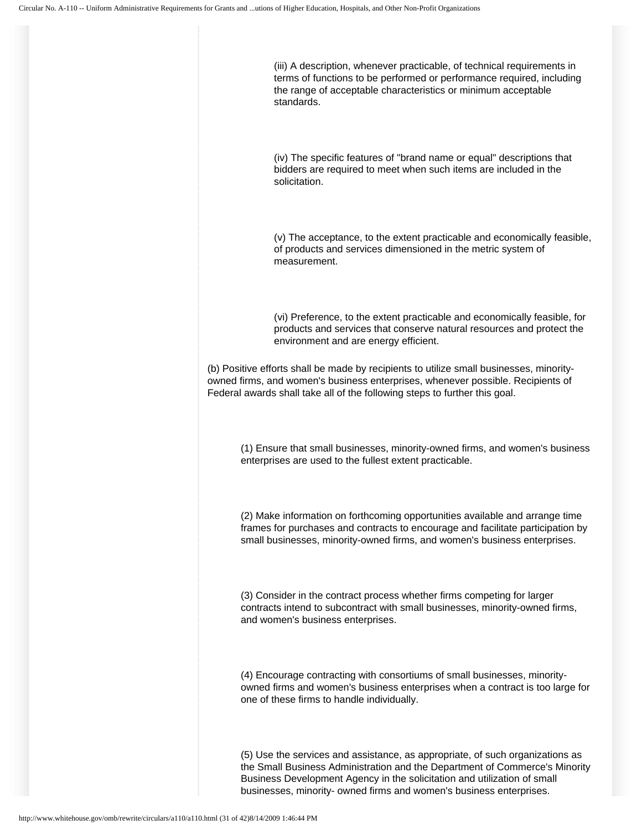(iii) A description, whenever practicable, of technical requirements in terms of functions to be performed or performance required, including the range of acceptable characteristics or minimum acceptable standards.

(iv) The specific features of "brand name or equal" descriptions that bidders are required to meet when such items are included in the solicitation.

(v) The acceptance, to the extent practicable and economically feasible, of products and services dimensioned in the metric system of measurement.

(vi) Preference, to the extent practicable and economically feasible, for products and services that conserve natural resources and protect the environment and are energy efficient.

(b) Positive efforts shall be made by recipients to utilize small businesses, minorityowned firms, and women's business enterprises, whenever possible. Recipients of Federal awards shall take all of the following steps to further this goal.

(1) Ensure that small businesses, minority-owned firms, and women's business enterprises are used to the fullest extent practicable.

(2) Make information on forthcoming opportunities available and arrange time frames for purchases and contracts to encourage and facilitate participation by small businesses, minority-owned firms, and women's business enterprises.

(3) Consider in the contract process whether firms competing for larger contracts intend to subcontract with small businesses, minority-owned firms, and women's business enterprises.

(4) Encourage contracting with consortiums of small businesses, minorityowned firms and women's business enterprises when a contract is too large for one of these firms to handle individually.

(5) Use the services and assistance, as appropriate, of such organizations as the Small Business Administration and the Department of Commerce's Minority Business Development Agency in the solicitation and utilization of small businesses, minority- owned firms and women's business enterprises.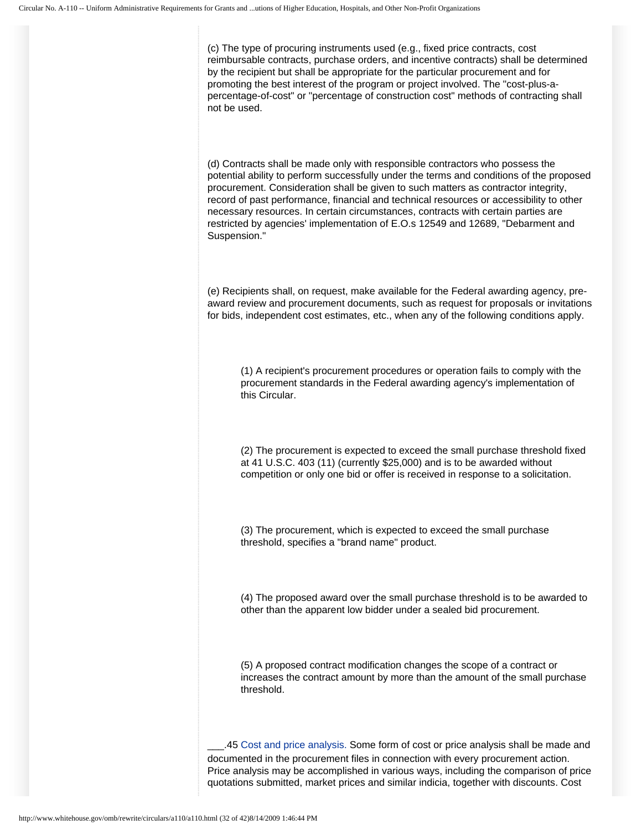(c) The type of procuring instruments used (e.g., fixed price contracts, cost reimbursable contracts, purchase orders, and incentive contracts) shall be determined by the recipient but shall be appropriate for the particular procurement and for promoting the best interest of the program or project involved. The "cost-plus-apercentage-of-cost" or "percentage of construction cost" methods of contracting shall not be used.

(d) Contracts shall be made only with responsible contractors who possess the potential ability to perform successfully under the terms and conditions of the proposed procurement. Consideration shall be given to such matters as contractor integrity, record of past performance, financial and technical resources or accessibility to other necessary resources. In certain circumstances, contracts with certain parties are restricted by agencies' implementation of E.O.s 12549 and 12689, "Debarment and Suspension."

(e) Recipients shall, on request, make available for the Federal awarding agency, preaward review and procurement documents, such as request for proposals or invitations for bids, independent cost estimates, etc., when any of the following conditions apply.

(1) A recipient's procurement procedures or operation fails to comply with the procurement standards in the Federal awarding agency's implementation of this Circular.

(2) The procurement is expected to exceed the small purchase threshold fixed at 41 U.S.C. 403 (11) (currently \$25,000) and is to be awarded without competition or only one bid or offer is received in response to a solicitation.

(3) The procurement, which is expected to exceed the small purchase threshold, specifies a "brand name" product.

(4) The proposed award over the small purchase threshold is to be awarded to other than the apparent low bidder under a sealed bid procurement.

(5) A proposed contract modification changes the scope of a contract or increases the contract amount by more than the amount of the small purchase threshold.

<span id="page-31-0"></span>\_\_\_.45 [Cost and price analysis.](#page-2-2) Some form of cost or price analysis shall be made and documented in the procurement files in connection with every procurement action. Price analysis may be accomplished in various ways, including the comparison of price quotations submitted, market prices and similar indicia, together with discounts. Cost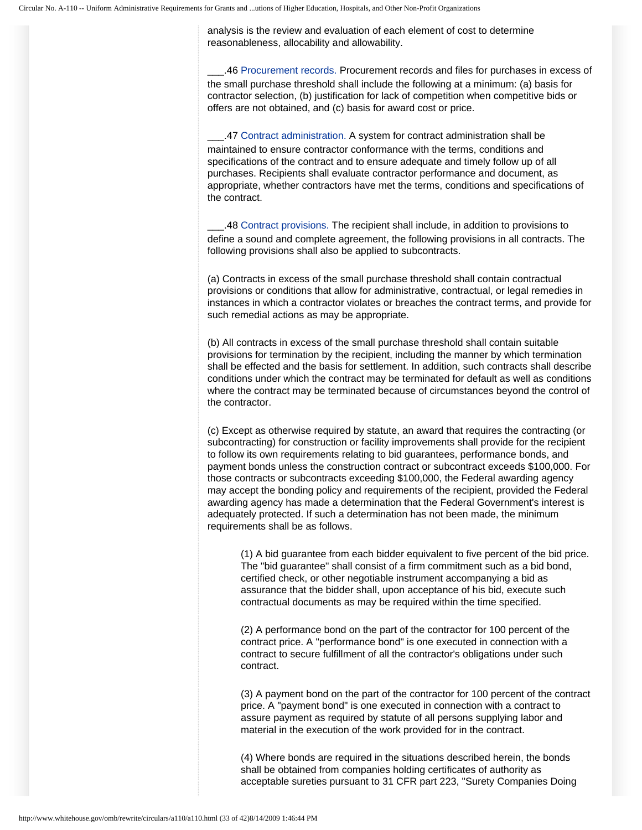analysis is the review and evaluation of each element of cost to determine reasonableness, allocability and allowability.

<span id="page-32-0"></span>\_\_\_.46 [Procurement records.](#page-2-2) Procurement records and files for purchases in excess of the small purchase threshold shall include the following at a minimum: (a) basis for contractor selection, (b) justification for lack of competition when competitive bids or offers are not obtained, and (c) basis for award cost or price.

<span id="page-32-1"></span>\_\_\_.47 [Contract administration.](#page-2-2) A system for contract administration shall be maintained to ensure contractor conformance with the terms, conditions and specifications of the contract and to ensure adequate and timely follow up of all purchases. Recipients shall evaluate contractor performance and document, as appropriate, whether contractors have met the terms, conditions and specifications of the contract.

<span id="page-32-2"></span>\_\_\_.48 [Contract provisions.](#page-2-2) The recipient shall include, in addition to provisions to define a sound and complete agreement, the following provisions in all contracts. The following provisions shall also be applied to subcontracts.

(a) Contracts in excess of the small purchase threshold shall contain contractual provisions or conditions that allow for administrative, contractual, or legal remedies in instances in which a contractor violates or breaches the contract terms, and provide for such remedial actions as may be appropriate.

(b) All contracts in excess of the small purchase threshold shall contain suitable provisions for termination by the recipient, including the manner by which termination shall be effected and the basis for settlement. In addition, such contracts shall describe conditions under which the contract may be terminated for default as well as conditions where the contract may be terminated because of circumstances beyond the control of the contractor.

(c) Except as otherwise required by statute, an award that requires the contracting (or subcontracting) for construction or facility improvements shall provide for the recipient to follow its own requirements relating to bid guarantees, performance bonds, and payment bonds unless the construction contract or subcontract exceeds \$100,000. For those contracts or subcontracts exceeding \$100,000, the Federal awarding agency may accept the bonding policy and requirements of the recipient, provided the Federal awarding agency has made a determination that the Federal Government's interest is adequately protected. If such a determination has not been made, the minimum requirements shall be as follows.

(1) A bid guarantee from each bidder equivalent to five percent of the bid price. The "bid guarantee" shall consist of a firm commitment such as a bid bond, certified check, or other negotiable instrument accompanying a bid as assurance that the bidder shall, upon acceptance of his bid, execute such contractual documents as may be required within the time specified.

(2) A performance bond on the part of the contractor for 100 percent of the contract price. A "performance bond" is one executed in connection with a contract to secure fulfillment of all the contractor's obligations under such contract.

(3) A payment bond on the part of the contractor for 100 percent of the contract price. A "payment bond" is one executed in connection with a contract to assure payment as required by statute of all persons supplying labor and material in the execution of the work provided for in the contract.

(4) Where bonds are required in the situations described herein, the bonds shall be obtained from companies holding certificates of authority as acceptable sureties pursuant to 31 CFR part 223, "Surety Companies Doing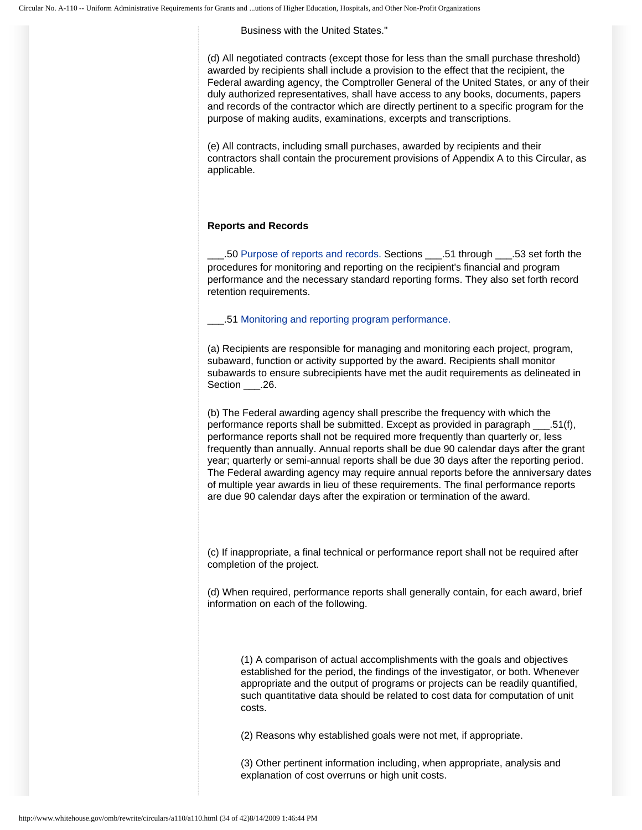Business with the United States."

(d) All negotiated contracts (except those for less than the small purchase threshold) awarded by recipients shall include a provision to the effect that the recipient, the Federal awarding agency, the Comptroller General of the United States, or any of their duly authorized representatives, shall have access to any books, documents, papers and records of the contractor which are directly pertinent to a specific program for the purpose of making audits, examinations, excerpts and transcriptions.

(e) All contracts, including small purchases, awarded by recipients and their contractors shall contain the procurement provisions of Appendix A to this Circular, as applicable.

### **Reports and Records**

<span id="page-33-0"></span>\_\_\_.50 [Purpose of reports and records.](#page-3-1) Sections \_\_\_.51 through \_\_\_.53 set forth the procedures for monitoring and reporting on the recipient's financial and program performance and the necessary standard reporting forms. They also set forth record retention requirements.

\_\_\_.51 [Monitoring and reporting program performance.](#page-3-1)

<span id="page-33-1"></span>(a) Recipients are responsible for managing and monitoring each project, program, subaward, function or activity supported by the award. Recipients shall monitor subawards to ensure subrecipients have met the audit requirements as delineated in Section .26.

(b) The Federal awarding agency shall prescribe the frequency with which the performance reports shall be submitted. Except as provided in paragraph \_\_\_.51(f), performance reports shall not be required more frequently than quarterly or, less frequently than annually. Annual reports shall be due 90 calendar days after the grant year; quarterly or semi-annual reports shall be due 30 days after the reporting period. The Federal awarding agency may require annual reports before the anniversary dates of multiple year awards in lieu of these requirements. The final performance reports are due 90 calendar days after the expiration or termination of the award.

(c) If inappropriate, a final technical or performance report shall not be required after completion of the project.

(d) When required, performance reports shall generally contain, for each award, brief information on each of the following.

(1) A comparison of actual accomplishments with the goals and objectives established for the period, the findings of the investigator, or both. Whenever appropriate and the output of programs or projects can be readily quantified, such quantitative data should be related to cost data for computation of unit costs.

(2) Reasons why established goals were not met, if appropriate.

(3) Other pertinent information including, when appropriate, analysis and explanation of cost overruns or high unit costs.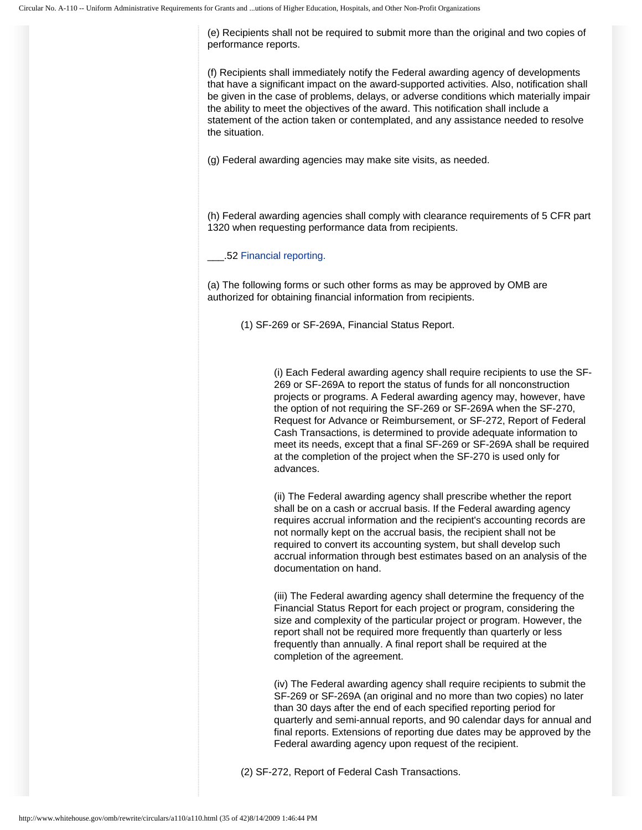(e) Recipients shall not be required to submit more than the original and two copies of performance reports.

(f) Recipients shall immediately notify the Federal awarding agency of developments that have a significant impact on the award-supported activities. Also, notification shall be given in the case of problems, delays, or adverse conditions which materially impair the ability to meet the objectives of the award. This notification shall include a statement of the action taken or contemplated, and any assistance needed to resolve the situation.

(g) Federal awarding agencies may make site visits, as needed.

(h) Federal awarding agencies shall comply with clearance requirements of 5 CFR part 1320 when requesting performance data from recipients.

\_\_\_.52 [Financial reporting.](#page-3-1)

<span id="page-34-0"></span>(a) The following forms or such other forms as may be approved by OMB are authorized for obtaining financial information from recipients.

(1) SF-269 or SF-269A, Financial Status Report.

(i) Each Federal awarding agency shall require recipients to use the SF-269 or SF-269A to report the status of funds for all nonconstruction projects or programs. A Federal awarding agency may, however, have the option of not requiring the SF-269 or SF-269A when the SF-270, Request for Advance or Reimbursement, or SF-272, Report of Federal Cash Transactions, is determined to provide adequate information to meet its needs, except that a final SF-269 or SF-269A shall be required at the completion of the project when the SF-270 is used only for advances.

(ii) The Federal awarding agency shall prescribe whether the report shall be on a cash or accrual basis. If the Federal awarding agency requires accrual information and the recipient's accounting records are not normally kept on the accrual basis, the recipient shall not be required to convert its accounting system, but shall develop such accrual information through best estimates based on an analysis of the documentation on hand.

(iii) The Federal awarding agency shall determine the frequency of the Financial Status Report for each project or program, considering the size and complexity of the particular project or program. However, the report shall not be required more frequently than quarterly or less frequently than annually. A final report shall be required at the completion of the agreement.

(iv) The Federal awarding agency shall require recipients to submit the SF-269 or SF-269A (an original and no more than two copies) no later than 30 days after the end of each specified reporting period for quarterly and semi-annual reports, and 90 calendar days for annual and final reports. Extensions of reporting due dates may be approved by the Federal awarding agency upon request of the recipient.

(2) SF-272, Report of Federal Cash Transactions.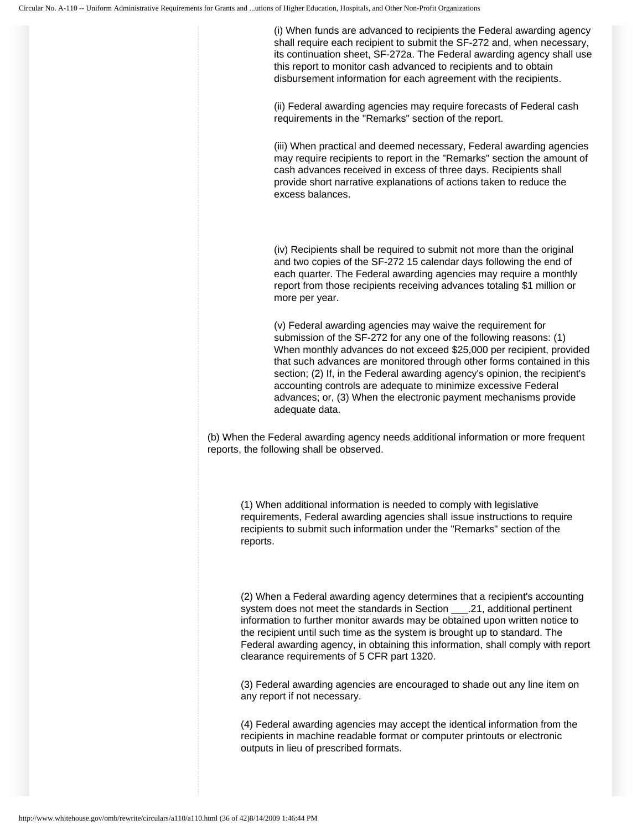(i) When funds are advanced to recipients the Federal awarding agency shall require each recipient to submit the SF-272 and, when necessary, its continuation sheet, SF-272a. The Federal awarding agency shall use this report to monitor cash advanced to recipients and to obtain disbursement information for each agreement with the recipients.

(ii) Federal awarding agencies may require forecasts of Federal cash requirements in the "Remarks" section of the report.

(iii) When practical and deemed necessary, Federal awarding agencies may require recipients to report in the "Remarks" section the amount of cash advances received in excess of three days. Recipients shall provide short narrative explanations of actions taken to reduce the excess balances.

(iv) Recipients shall be required to submit not more than the original and two copies of the SF-272 15 calendar days following the end of each quarter. The Federal awarding agencies may require a monthly report from those recipients receiving advances totaling \$1 million or more per year.

(v) Federal awarding agencies may waive the requirement for submission of the SF-272 for any one of the following reasons: (1) When monthly advances do not exceed \$25,000 per recipient, provided that such advances are monitored through other forms contained in this section; (2) If, in the Federal awarding agency's opinion, the recipient's accounting controls are adequate to minimize excessive Federal advances; or, (3) When the electronic payment mechanisms provide adequate data.

(b) When the Federal awarding agency needs additional information or more frequent reports, the following shall be observed.

(1) When additional information is needed to comply with legislative requirements, Federal awarding agencies shall issue instructions to require recipients to submit such information under the "Remarks" section of the reports.

(2) When a Federal awarding agency determines that a recipient's accounting system does not meet the standards in Section \_\_\_.21, additional pertinent information to further monitor awards may be obtained upon written notice to the recipient until such time as the system is brought up to standard. The Federal awarding agency, in obtaining this information, shall comply with report clearance requirements of 5 CFR part 1320.

(3) Federal awarding agencies are encouraged to shade out any line item on any report if not necessary.

(4) Federal awarding agencies may accept the identical information from the recipients in machine readable format or computer printouts or electronic outputs in lieu of prescribed formats.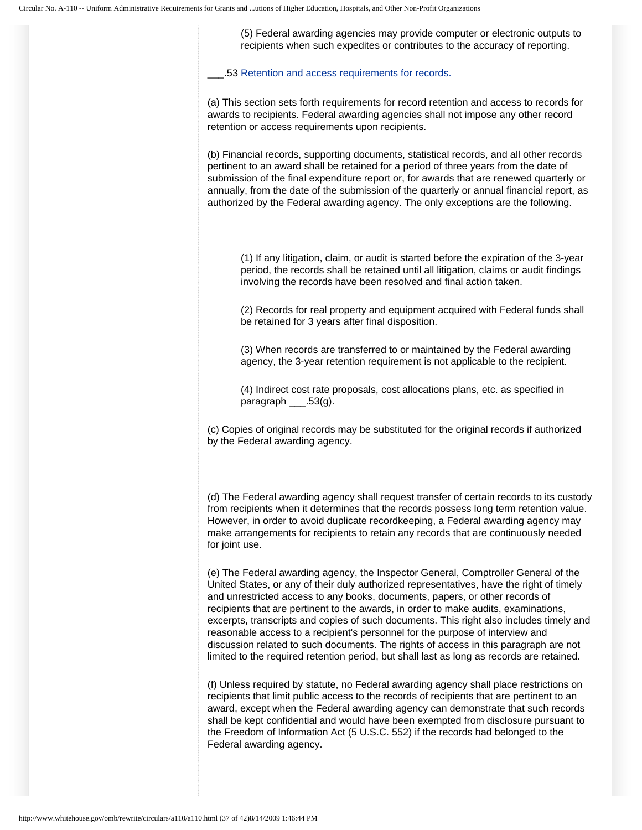(5) Federal awarding agencies may provide computer or electronic outputs to recipients when such expedites or contributes to the accuracy of reporting.

\_\_\_.53 [Retention and access requirements for records.](#page-3-1)

<span id="page-36-0"></span>(a) This section sets forth requirements for record retention and access to records for awards to recipients. Federal awarding agencies shall not impose any other record retention or access requirements upon recipients.

(b) Financial records, supporting documents, statistical records, and all other records pertinent to an award shall be retained for a period of three years from the date of submission of the final expenditure report or, for awards that are renewed quarterly or annually, from the date of the submission of the quarterly or annual financial report, as authorized by the Federal awarding agency. The only exceptions are the following.

(1) If any litigation, claim, or audit is started before the expiration of the 3-year period, the records shall be retained until all litigation, claims or audit findings involving the records have been resolved and final action taken.

(2) Records for real property and equipment acquired with Federal funds shall be retained for 3 years after final disposition.

(3) When records are transferred to or maintained by the Federal awarding agency, the 3-year retention requirement is not applicable to the recipient.

(4) Indirect cost rate proposals, cost allocations plans, etc. as specified in paragraph  $\_\_\_$ .53(g).

(c) Copies of original records may be substituted for the original records if authorized by the Federal awarding agency.

(d) The Federal awarding agency shall request transfer of certain records to its custody from recipients when it determines that the records possess long term retention value. However, in order to avoid duplicate recordkeeping, a Federal awarding agency may make arrangements for recipients to retain any records that are continuously needed for joint use.

(e) The Federal awarding agency, the Inspector General, Comptroller General of the United States, or any of their duly authorized representatives, have the right of timely and unrestricted access to any books, documents, papers, or other records of recipients that are pertinent to the awards, in order to make audits, examinations, excerpts, transcripts and copies of such documents. This right also includes timely and reasonable access to a recipient's personnel for the purpose of interview and discussion related to such documents. The rights of access in this paragraph are not limited to the required retention period, but shall last as long as records are retained.

(f) Unless required by statute, no Federal awarding agency shall place restrictions on recipients that limit public access to the records of recipients that are pertinent to an award, except when the Federal awarding agency can demonstrate that such records shall be kept confidential and would have been exempted from disclosure pursuant to the Freedom of Information Act (5 U.S.C. 552) if the records had belonged to the Federal awarding agency.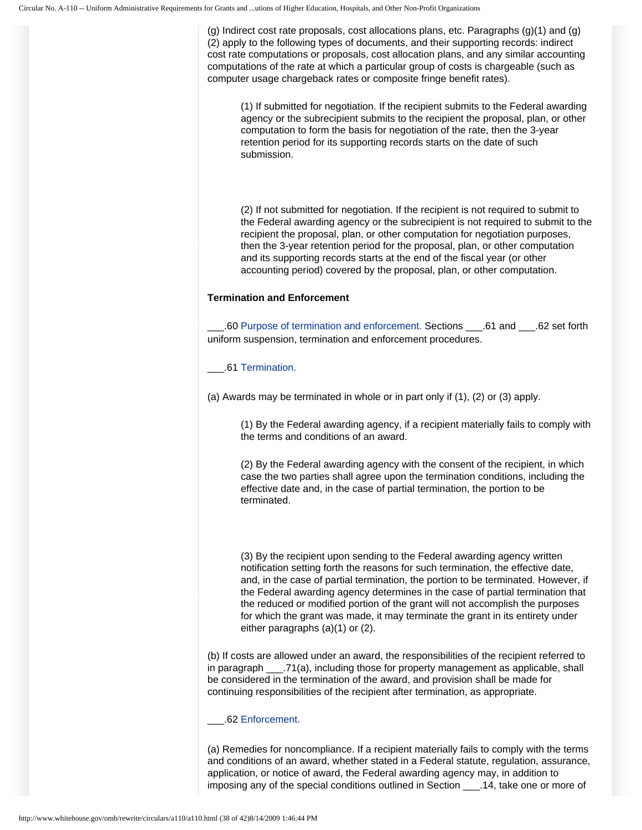(g) Indirect cost rate proposals, cost allocations plans, etc. Paragraphs  $(q)(1)$  and  $(q)$ (2) apply to the following types of documents, and their supporting records: indirect cost rate computations or proposals, cost allocation plans, and any similar accounting computations of the rate at which a particular group of costs is chargeable (such as computer usage chargeback rates or composite fringe benefit rates).

(1) If submitted for negotiation. If the recipient submits to the Federal awarding agency or the subrecipient submits to the recipient the proposal, plan, or other computation to form the basis for negotiation of the rate, then the 3-year retention period for its supporting records starts on the date of such submission.

(2) If not submitted for negotiation. If the recipient is not required to submit to the Federal awarding agency or the subrecipient is not required to submit to the recipient the proposal, plan, or other computation for negotiation purposes, then the 3-year retention period for the proposal, plan, or other computation and its supporting records starts at the end of the fiscal year (or other accounting period) covered by the proposal, plan, or other computation.

## **Termination and Enforcement**

<span id="page-37-0"></span>\_\_\_.60 [Purpose of termination and enforcement.](#page-3-2) Sections \_\_\_.61 and \_\_\_.62 set forth uniform suspension, termination and enforcement procedures.

\_\_\_.61 [Termination.](#page-3-2)

<span id="page-37-1"></span>(a) Awards may be terminated in whole or in part only if (1), (2) or (3) apply.

(1) By the Federal awarding agency, if a recipient materially fails to comply with the terms and conditions of an award.

(2) By the Federal awarding agency with the consent of the recipient, in which case the two parties shall agree upon the termination conditions, including the effective date and, in the case of partial termination, the portion to be terminated.

(3) By the recipient upon sending to the Federal awarding agency written notification setting forth the reasons for such termination, the effective date, and, in the case of partial termination, the portion to be terminated. However, if the Federal awarding agency determines in the case of partial termination that the reduced or modified portion of the grant will not accomplish the purposes for which the grant was made, it may terminate the grant in its entirety under either paragraphs (a)(1) or (2).

(b) If costs are allowed under an award, the responsibilities of the recipient referred to in paragraph \_\_\_.71(a), including those for property management as applicable, shall be considered in the termination of the award, and provision shall be made for continuing responsibilities of the recipient after termination, as appropriate.

\_\_\_.62 [Enforcement.](#page-3-2)

<span id="page-37-2"></span>(a) Remedies for noncompliance. If a recipient materially fails to comply with the terms and conditions of an award, whether stated in a Federal statute, regulation, assurance, application, or notice of award, the Federal awarding agency may, in addition to imposing any of the special conditions outlined in Section \_\_\_.14, take one or more of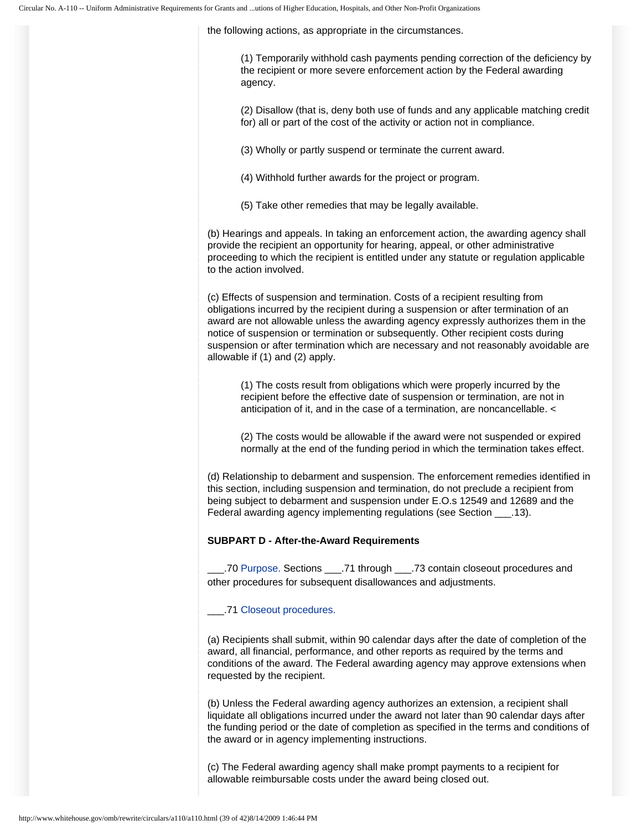the following actions, as appropriate in the circumstances.

(1) Temporarily withhold cash payments pending correction of the deficiency by the recipient or more severe enforcement action by the Federal awarding agency.

(2) Disallow (that is, deny both use of funds and any applicable matching credit for) all or part of the cost of the activity or action not in compliance.

- (3) Wholly or partly suspend or terminate the current award.
- (4) Withhold further awards for the project or program.
- (5) Take other remedies that may be legally available.

(b) Hearings and appeals. In taking an enforcement action, the awarding agency shall provide the recipient an opportunity for hearing, appeal, or other administrative proceeding to which the recipient is entitled under any statute or regulation applicable to the action involved.

(c) Effects of suspension and termination. Costs of a recipient resulting from obligations incurred by the recipient during a suspension or after termination of an award are not allowable unless the awarding agency expressly authorizes them in the notice of suspension or termination or subsequently. Other recipient costs during suspension or after termination which are necessary and not reasonably avoidable are allowable if (1) and (2) apply.

(1) The costs result from obligations which were properly incurred by the recipient before the effective date of suspension or termination, are not in anticipation of it, and in the case of a termination, are noncancellable. <

(2) The costs would be allowable if the award were not suspended or expired normally at the end of the funding period in which the termination takes effect.

(d) Relationship to debarment and suspension. The enforcement remedies identified in this section, including suspension and termination, do not preclude a recipient from being subject to debarment and suspension under E.O.s 12549 and 12689 and the Federal awarding agency implementing regulations (see Section \_\_\_.13).

#### **SUBPART D - After-the-Award Requirements**

<span id="page-38-0"></span>\_\_\_.70 [Purpose.](#page-3-3) Sections \_\_\_.71 through \_\_\_.73 contain closeout procedures and other procedures for subsequent disallowances and adjustments.

### <span id="page-38-1"></span>\_\_\_.71 [Closeout procedures.](#page-3-3)

(a) Recipients shall submit, within 90 calendar days after the date of completion of the award, all financial, performance, and other reports as required by the terms and conditions of the award. The Federal awarding agency may approve extensions when requested by the recipient.

(b) Unless the Federal awarding agency authorizes an extension, a recipient shall liquidate all obligations incurred under the award not later than 90 calendar days after the funding period or the date of completion as specified in the terms and conditions of the award or in agency implementing instructions.

(c) The Federal awarding agency shall make prompt payments to a recipient for allowable reimbursable costs under the award being closed out.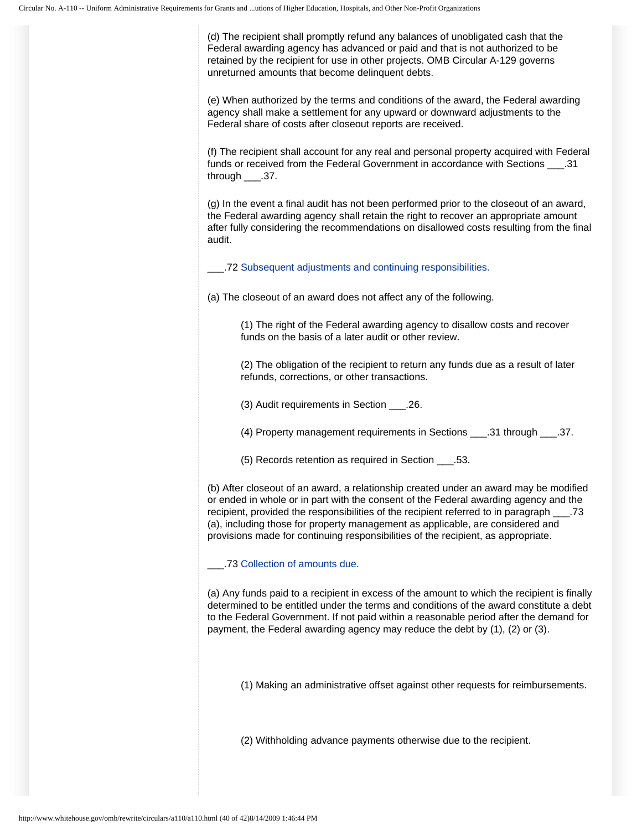(d) The recipient shall promptly refund any balances of unobligated cash that the Federal awarding agency has advanced or paid and that is not authorized to be retained by the recipient for use in other projects. OMB Circular A-129 governs unreturned amounts that become delinquent debts.

(e) When authorized by the terms and conditions of the award, the Federal awarding agency shall make a settlement for any upward or downward adjustments to the Federal share of costs after closeout reports are received.

(f) The recipient shall account for any real and personal property acquired with Federal funds or received from the Federal Government in accordance with Sections \_\_\_.31 through .37.

(g) In the event a final audit has not been performed prior to the closeout of an award, the Federal awarding agency shall retain the right to recover an appropriate amount after fully considering the recommendations on disallowed costs resulting from the final audit.

\_\_\_.72 [Subsequent adjustments and continuing responsibilities.](#page-3-3)

<span id="page-39-0"></span>(a) The closeout of an award does not affect any of the following.

(1) The right of the Federal awarding agency to disallow costs and recover funds on the basis of a later audit or other review.

(2) The obligation of the recipient to return any funds due as a result of later refunds, corrections, or other transactions.

- (3) Audit requirements in Section \_\_\_.26.
- (4) Property management requirements in Sections \_\_\_.31 through \_\_\_.37.
- (5) Records retention as required in Section \_\_\_.53.

(b) After closeout of an award, a relationship created under an award may be modified or ended in whole or in part with the consent of the Federal awarding agency and the recipient, provided the responsibilities of the recipient referred to in paragraph \_\_\_.73 (a), including those for property management as applicable, are considered and provisions made for continuing responsibilities of the recipient, as appropriate.

\_\_\_.73 [Collection of amounts due.](#page-3-3)

<span id="page-39-1"></span>(a) Any funds paid to a recipient in excess of the amount to which the recipient is finally determined to be entitled under the terms and conditions of the award constitute a debt to the Federal Government. If not paid within a reasonable period after the demand for payment, the Federal awarding agency may reduce the debt by (1), (2) or (3).

(1) Making an administrative offset against other requests for reimbursements.

(2) Withholding advance payments otherwise due to the recipient.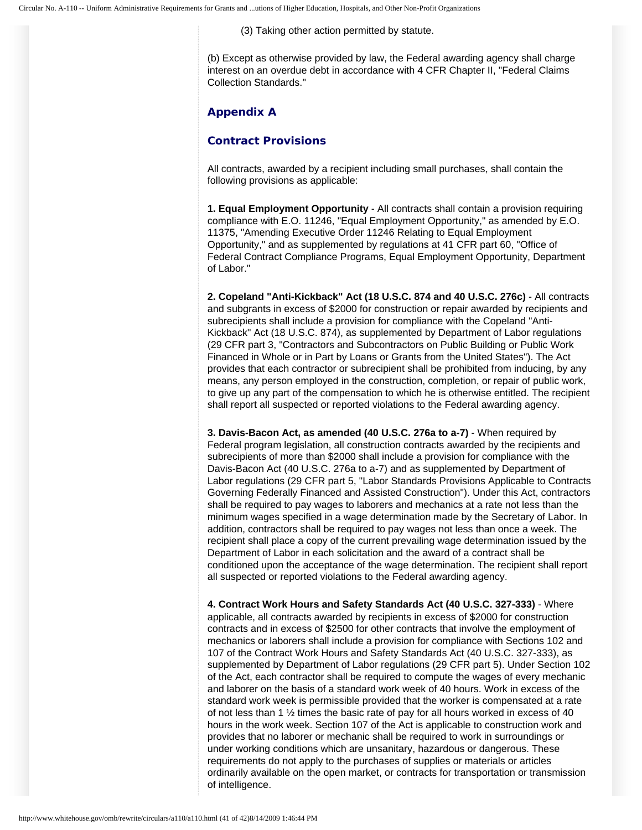(3) Taking other action permitted by statute.

(b) Except as otherwise provided by law, the Federal awarding agency shall charge interest on an overdue debt in accordance with 4 CFR Chapter II, "Federal Claims Collection Standards."

# **Appendix A**

## **Contract Provisions**

All contracts, awarded by a recipient including small purchases, shall contain the following provisions as applicable:

**1. Equal Employment Opportunity** - All contracts shall contain a provision requiring compliance with E.O. 11246, "Equal Employment Opportunity," as amended by E.O. 11375, "Amending Executive Order 11246 Relating to Equal Employment Opportunity," and as supplemented by regulations at 41 CFR part 60, "Office of Federal Contract Compliance Programs, Equal Employment Opportunity, Department of Labor."

**2. Copeland "Anti-Kickback" Act (18 U.S.C. 874 and 40 U.S.C. 276c)** - All contracts and subgrants in excess of \$2000 for construction or repair awarded by recipients and subrecipients shall include a provision for compliance with the Copeland "Anti-Kickback" Act (18 U.S.C. 874), as supplemented by Department of Labor regulations (29 CFR part 3, "Contractors and Subcontractors on Public Building or Public Work Financed in Whole or in Part by Loans or Grants from the United States"). The Act provides that each contractor or subrecipient shall be prohibited from inducing, by any means, any person employed in the construction, completion, or repair of public work, to give up any part of the compensation to which he is otherwise entitled. The recipient shall report all suspected or reported violations to the Federal awarding agency.

**3. Davis-Bacon Act, as amended (40 U.S.C. 276a to a-7)** - When required by Federal program legislation, all construction contracts awarded by the recipients and subrecipients of more than \$2000 shall include a provision for compliance with the Davis-Bacon Act (40 U.S.C. 276a to a-7) and as supplemented by Department of Labor regulations (29 CFR part 5, "Labor Standards Provisions Applicable to Contracts Governing Federally Financed and Assisted Construction"). Under this Act, contractors shall be required to pay wages to laborers and mechanics at a rate not less than the minimum wages specified in a wage determination made by the Secretary of Labor. In addition, contractors shall be required to pay wages not less than once a week. The recipient shall place a copy of the current prevailing wage determination issued by the Department of Labor in each solicitation and the award of a contract shall be conditioned upon the acceptance of the wage determination. The recipient shall report all suspected or reported violations to the Federal awarding agency.

**4. Contract Work Hours and Safety Standards Act (40 U.S.C. 327-333)** - Where applicable, all contracts awarded by recipients in excess of \$2000 for construction contracts and in excess of \$2500 for other contracts that involve the employment of mechanics or laborers shall include a provision for compliance with Sections 102 and 107 of the Contract Work Hours and Safety Standards Act (40 U.S.C. 327-333), as supplemented by Department of Labor regulations (29 CFR part 5). Under Section 102 of the Act, each contractor shall be required to compute the wages of every mechanic and laborer on the basis of a standard work week of 40 hours. Work in excess of the standard work week is permissible provided that the worker is compensated at a rate of not less than 1 ½ times the basic rate of pay for all hours worked in excess of 40 hours in the work week. Section 107 of the Act is applicable to construction work and provides that no laborer or mechanic shall be required to work in surroundings or under working conditions which are unsanitary, hazardous or dangerous. These requirements do not apply to the purchases of supplies or materials or articles ordinarily available on the open market, or contracts for transportation or transmission of intelligence.